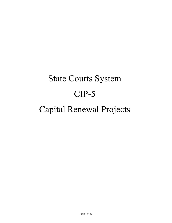# State Courts System CIP-5 Capital Renewal Projects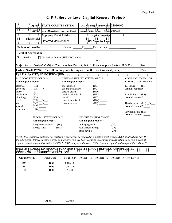|                              |                                                                                                                                                                                                                                                                                                                                                                                                                                                                                                                                                                                                                                   | Agency: STATE COURTS SYSTEM                                                                                                                                                                                                                                                                                                                                                                    |                                        | LAS/PBS Budget Entity Code: 22010100 |                                  |                                      |                         |
|------------------------------|-----------------------------------------------------------------------------------------------------------------------------------------------------------------------------------------------------------------------------------------------------------------------------------------------------------------------------------------------------------------------------------------------------------------------------------------------------------------------------------------------------------------------------------------------------------------------------------------------------------------------------------|------------------------------------------------------------------------------------------------------------------------------------------------------------------------------------------------------------------------------------------------------------------------------------------------------------------------------------------------------------------------------------------------|----------------------------------------|--------------------------------------|----------------------------------|--------------------------------------|-------------------------|
|                              |                                                                                                                                                                                                                                                                                                                                                                                                                                                                                                                                                                                                                                   | Service: Court Operations - Supreme Court                                                                                                                                                                                                                                                                                                                                                      |                                        | Appropriation Category Code: 080037  |                                  |                                      |                         |
|                              |                                                                                                                                                                                                                                                                                                                                                                                                                                                                                                                                                                                                                                   | <b>Supreme Court Building</b>                                                                                                                                                                                                                                                                                                                                                                  |                                        | <b>Agency Priority</b>               | 1                                |                                      |                         |
|                              | <b>Project Title:</b>                                                                                                                                                                                                                                                                                                                                                                                                                                                                                                                                                                                                             | <b>Deferred Maintenance</b>                                                                                                                                                                                                                                                                                                                                                                    |                                        | <b>LRPP Narrative Page:</b>          |                                  |                                      |                         |
| To be constructed by:        |                                                                                                                                                                                                                                                                                                                                                                                                                                                                                                                                                                                                                                   |                                                                                                                                                                                                                                                                                                                                                                                                | Contract X Force account               |                                      |                                  |                                      |                         |
| <b>Level of Aggregation:</b> |                                                                                                                                                                                                                                                                                                                                                                                                                                                                                                                                                                                                                                   |                                                                                                                                                                                                                                                                                                                                                                                                |                                        |                                      |                                  |                                      |                         |
| Service<br>N                 |                                                                                                                                                                                                                                                                                                                                                                                                                                                                                                                                                                                                                                   | [ Institution/Campus (SUS/SBCC only): NAME                                                                                                                                                                                                                                                                                                                                                     |                                        |                                      |                                  |                                      |                         |
|                              |                                                                                                                                                                                                                                                                                                                                                                                                                                                                                                                                                                                                                                   |                                                                                                                                                                                                                                                                                                                                                                                                |                                        |                                      |                                  |                                      |                         |
|                              |                                                                                                                                                                                                                                                                                                                                                                                                                                                                                                                                                                                                                                   | Major Repair Project? (Y/N) (If Yes, complete Parts A, D & E; if No, complete Parts A, B & C.)                                                                                                                                                                                                                                                                                                 |                                        |                                      |                                  |                                      | <b>No</b>               |
|                              |                                                                                                                                                                                                                                                                                                                                                                                                                                                                                                                                                                                                                                   | Critical Need? (Y/N) (If Yes, all funding must be requested in the first two fiscal years.)<br>PART A: SYSTEM IDENTIFICATION AND RELEASED FOR EVERY ENDING:                                                                                                                                                                                                                                    |                                        |                                      |                                  |                                      | Yes                     |
|                              | <b>BUILDING SYSTEM GROUP</b>                                                                                                                                                                                                                                                                                                                                                                                                                                                                                                                                                                                                      |                                                                                                                                                                                                                                                                                                                                                                                                | CENTRAL UTILITY SYSTEM GROUP           |                                      |                                  | <b>CODE AND LICENSURE</b>            |                         |
|                              | Annual group request?                                                                                                                                                                                                                                                                                                                                                                                                                                                                                                                                                                                                             |                                                                                                                                                                                                                                                                                                                                                                                                | Annual group request?                  |                                      |                                  | <b>CORRECTION GROUPS</b>             |                         |
| electrical<br>envelope       | $\begin{array}{c} \text{(BE)}\\ \text{(BX)} \underline{\hspace{1cm}} \underline{\hspace{1cm}} \underline{\hspace{1cm}} \underline{\hspace{1cm}} \underline{\hspace{1cm}} \underline{\hspace{1cm}} \underline{\hspace{1cm}} \underline{\hspace{1cm}} \underline{\hspace{1cm}} \underline{\hspace{1cm}} \underline{\hspace{1cm}} \underline{\hspace{1cm}} \underline{\hspace{1cm}} \underline{\hspace{1cm}} \underline{\hspace{1cm}} \underline{\hspace{1cm}} \underline{\hspace{1cm}} \underline{\hspace{1cm}} \underline{\hspace{1cm}} \underline{\hspace{1cm}} \underline{\hspace{1cm}} \underline{\hspace{1cm}} \underline{\hs$ | cogeneration<br>cooling gen./distrib.                                                                                                                                                                                                                                                                                                                                                          |                                        |                                      |                                  | Licensure<br>Annual request? ______  | $(LC)$ <sub>_____</sub> |
| interior                     | $(BI)$ <sub>________</sub>                                                                                                                                                                                                                                                                                                                                                                                                                                                                                                                                                                                                        | electric distrib.                                                                                                                                                                                                                                                                                                                                                                              |                                        | (UC)                                 |                                  |                                      |                         |
| mechanical<br>plumbing       | (BM)                                                                                                                                                                                                                                                                                                                                                                                                                                                                                                                                                                                                                              | heating gen./distrib.<br>landfill                                                                                                                                                                                                                                                                                                                                                              |                                        | $(UH)$ <sub>______</sub><br>(UL)     |                                  | Life Safety<br>Annual request? _____ | (LS)                    |
| roof<br>site                 | $\begin{array}{c}\n\text{(BP)} \quad \text{---} \\ \text{(BR)} \quad \text{---} \\ \text{(BG)} \quad \text{---} X \quad \text{---}\n\end{array}$                                                                                                                                                                                                                                                                                                                                                                                                                                                                                  | water treat./distrib.<br>waste treatment                                                                                                                                                                                                                                                                                                                                                       |                                        | (US)                                 |                                  | Handicapped $(LH)$ $X$               |                         |
| special                      | $(BD)$ <sub>______</sub>                                                                                                                                                                                                                                                                                                                                                                                                                                                                                                                                                                                                          |                                                                                                                                                                                                                                                                                                                                                                                                |                                        |                                      |                                  | Annual request?                      |                         |
| structural                   | (BS)                                                                                                                                                                                                                                                                                                                                                                                                                                                                                                                                                                                                                              |                                                                                                                                                                                                                                                                                                                                                                                                |                                        |                                      |                                  | Environmental (LE) _____             |                         |
|                              | <b>SPECIAL SYSTEM GROUP</b>                                                                                                                                                                                                                                                                                                                                                                                                                                                                                                                                                                                                       |                                                                                                                                                                                                                                                                                                                                                                                                |                                        | <b>CAMPUS SYSTEM GROUP</b>           |                                  | Annual request? ____                 |                         |
|                              | Annual group request? _____                                                                                                                                                                                                                                                                                                                                                                                                                                                                                                                                                                                                       |                                                                                                                                                                                                                                                                                                                                                                                                |                                        | Annual group request?                |                                  |                                      |                         |
|                              | energy conservation (SC)                                                                                                                                                                                                                                                                                                                                                                                                                                                                                                                                                                                                          |                                                                                                                                                                                                                                                                                                                                                                                                | drainage/grounds<br>road system paving |                                      | (CG)                             |                                      |                         |
|                              |                                                                                                                                                                                                                                                                                                                                                                                                                                                                                                                                                                                                                                   |                                                                                                                                                                                                                                                                                                                                                                                                | other paving                           |                                      | $(CR)$ <sub>______</sub><br>(CP) |                                      |                         |
|                              |                                                                                                                                                                                                                                                                                                                                                                                                                                                                                                                                                                                                                                   | NOTE: If at least three systems or at least two groups are to be repaired in a single project, it is a MAJOR REPAIR and Part D<br>should be used. If three or more systems in a facility group are being repaired in separate projects within one group's general<br>capital renewal request, it is NOT a MAJOR REPAIR and you will answer YES to "annual request" and complete Parts B and C. |                                        |                                      |                                  |                                      |                         |
|                              |                                                                                                                                                                                                                                                                                                                                                                                                                                                                                                                                                                                                                                   | PART B: PROJECTED FINANCE PLAN FOR FACILITY GROUP REPAIRS, AND SPECIFIED                                                                                                                                                                                                                                                                                                                       |                                        |                                      |                                  |                                      |                         |
|                              | <b>CODE AND LICENSURE CORRECTIONS:</b>                                                                                                                                                                                                                                                                                                                                                                                                                                                                                                                                                                                            |                                                                                                                                                                                                                                                                                                                                                                                                |                                        |                                      |                                  |                                      |                         |
| Group/System                 | <b>Fund Code</b>                                                                                                                                                                                                                                                                                                                                                                                                                                                                                                                                                                                                                  | FY 2013-14                                                                                                                                                                                                                                                                                                                                                                                     | FY 2014-15                             | FY 2015-16                           | FY 2016-17                       | FY 2017-18                           |                         |
| BX                           | 1000                                                                                                                                                                                                                                                                                                                                                                                                                                                                                                                                                                                                                              | 1,180,538                                                                                                                                                                                                                                                                                                                                                                                      |                                        |                                      |                                  |                                      |                         |
| $\rm{BR}$<br>${\rm LH}$      | 1000<br>1000                                                                                                                                                                                                                                                                                                                                                                                                                                                                                                                                                                                                                      | 2,465,342<br>75,000                                                                                                                                                                                                                                                                                                                                                                            |                                        |                                      |                                  |                                      |                         |
|                              |                                                                                                                                                                                                                                                                                                                                                                                                                                                                                                                                                                                                                                   |                                                                                                                                                                                                                                                                                                                                                                                                |                                        |                                      |                                  |                                      |                         |
|                              |                                                                                                                                                                                                                                                                                                                                                                                                                                                                                                                                                                                                                                   |                                                                                                                                                                                                                                                                                                                                                                                                |                                        |                                      |                                  |                                      |                         |
|                              |                                                                                                                                                                                                                                                                                                                                                                                                                                                                                                                                                                                                                                   |                                                                                                                                                                                                                                                                                                                                                                                                |                                        |                                      |                                  |                                      |                         |
|                              |                                                                                                                                                                                                                                                                                                                                                                                                                                                                                                                                                                                                                                   |                                                                                                                                                                                                                                                                                                                                                                                                |                                        |                                      |                                  |                                      |                         |
|                              |                                                                                                                                                                                                                                                                                                                                                                                                                                                                                                                                                                                                                                   |                                                                                                                                                                                                                                                                                                                                                                                                |                                        |                                      |                                  |                                      |                         |
|                              |                                                                                                                                                                                                                                                                                                                                                                                                                                                                                                                                                                                                                                   |                                                                                                                                                                                                                                                                                                                                                                                                |                                        |                                      |                                  |                                      |                         |
|                              | <b>TOTAL</b>                                                                                                                                                                                                                                                                                                                                                                                                                                                                                                                                                                                                                      | 3,720,880                                                                                                                                                                                                                                                                                                                                                                                      |                                        |                                      |                                  |                                      |                         |

ı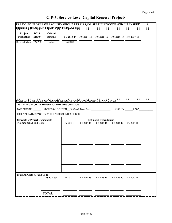|                                       |                      |                            | PART C: SCHEDULE OF FACILITY GROUP REPAIRS, OR SPECIFIED CODE AND LICENSURE<br><b>CORRECTIONS, AND COMPONENT FINANCING:</b>     |            |                                                        |            |             |  |
|---------------------------------------|----------------------|----------------------------|---------------------------------------------------------------------------------------------------------------------------------|------------|--------------------------------------------------------|------------|-------------|--|
| Project<br><b>Description</b>         | <b>DMS</b><br>Bldg.# | <b>Critical</b><br>Routine |                                                                                                                                 |            | FY 2013-14 FY 2014-15 FY 2015-16 FY 2016-17 FY 2017-18 |            |             |  |
| Deferred Main                         | 99999                | Critical                   | 3,720,880                                                                                                                       |            |                                                        |            |             |  |
|                                       |                      |                            |                                                                                                                                 |            |                                                        |            |             |  |
|                                       |                      |                            |                                                                                                                                 |            |                                                        |            |             |  |
|                                       |                      |                            |                                                                                                                                 |            |                                                        |            |             |  |
|                                       |                      |                            |                                                                                                                                 |            |                                                        |            |             |  |
|                                       |                      |                            |                                                                                                                                 |            |                                                        |            |             |  |
|                                       |                      |                            |                                                                                                                                 |            |                                                        |            |             |  |
|                                       |                      |                            |                                                                                                                                 |            |                                                        |            |             |  |
|                                       |                      |                            |                                                                                                                                 |            |                                                        |            |             |  |
|                                       |                      |                            |                                                                                                                                 |            |                                                        |            |             |  |
|                                       |                      |                            | PART D: SCHEDULE OF MAJOR REPAIRS AND COMPONENT FINANCING:                                                                      |            |                                                        |            |             |  |
|                                       |                      |                            | BUILDING / FACILITY IDENTIFICATION / DESCRIPTION                                                                                |            |                                                        |            | COUNTY Leon |  |
|                                       |                      |                            | DMS BLDG NO. ___________ ADDRESS / LOCATION ___500 South Duval Street<br>LRPP NARRATIVE PAGE ON WHICH PROJECT IS DESCRIBED ____ |            |                                                        |            |             |  |
| <b>Schedule of Project Components</b> |                      |                            |                                                                                                                                 |            | <b>Estimated Expenditures</b>                          |            |             |  |
| (Component/Fund Code)                 |                      |                            | FY 2013-14                                                                                                                      | FY 2014-15 | FY 2015-16                                             | FY 2016-17 | FY 2017-18  |  |
|                                       |                      |                            |                                                                                                                                 |            |                                                        |            |             |  |
|                                       |                      |                            |                                                                                                                                 |            |                                                        |            |             |  |
|                                       |                      |                            |                                                                                                                                 |            |                                                        |            |             |  |
|                                       |                      |                            |                                                                                                                                 |            |                                                        |            |             |  |
|                                       |                      |                            |                                                                                                                                 |            |                                                        |            |             |  |
|                                       |                      |                            |                                                                                                                                 |            |                                                        |            |             |  |
|                                       |                      |                            |                                                                                                                                 |            |                                                        |            |             |  |
|                                       |                      |                            |                                                                                                                                 |            |                                                        |            |             |  |
| Total: All Costs by Fund Code         |                      | <b>Fund Code</b>           | FY 2013-14                                                                                                                      | FY 2014-15 | FY 2015-16                                             | FY 2016-17 | FY 2017-18  |  |
|                                       |                      |                            |                                                                                                                                 |            |                                                        |            |             |  |
|                                       |                      |                            |                                                                                                                                 |            |                                                        |            |             |  |
|                                       |                      | <b>TOTAL</b>               |                                                                                                                                 |            |                                                        |            |             |  |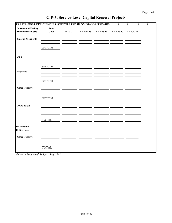| PART E: COST EFFICIENCIES ANTICIPATED FROM MAJOR REPAIRS: |                        |            |            |            |            |            |  |
|-----------------------------------------------------------|------------------------|------------|------------|------------|------------|------------|--|
| <b>Incremental Facility</b><br><b>Maintenance Costs</b>   | Fund<br>Code           | FY 2013-14 | FY 2014-15 | FY 2015-16 | FY 2016-17 | FY 2017-18 |  |
| Salaries & Benefits                                       |                        |            |            |            |            |            |  |
|                                                           | <b>SUBTOTAL</b>        |            |            |            |            |            |  |
| <b>OPS</b>                                                |                        |            |            |            |            |            |  |
|                                                           | ${\tt SUBTOTAL}$       |            |            |            |            |            |  |
| Expenses                                                  |                        |            |            |            |            |            |  |
|                                                           | ${\large\bf SUBTOTAL}$ |            |            |            |            |            |  |
| Other (specify)                                           |                        |            |            |            |            |            |  |
|                                                           | <b>SUBTOTAL</b>        |            |            |            |            |            |  |
| <b>Fund Totals</b>                                        |                        |            |            |            |            |            |  |
|                                                           |                        |            |            |            |            |            |  |
| <b>Incremental</b>                                        | <b>TOTAL</b>           |            |            |            |            |            |  |
| <b>Utility Costs</b>                                      |                        |            |            |            |            |            |  |
| Other (specify)                                           |                        |            |            |            |            |            |  |
|                                                           | <b>TOTAL</b>           |            |            |            |            |            |  |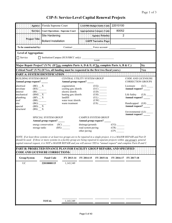|                                                             |                                                                                                     | Agency: Florida Supreme Court                                                                                                                                                                                                                                                                                                                                                                  |                                                             |                                                        | <b>PBS Budget Entity Code:</b>                                                                                                                                                                                                                                                                                                                                                | 22010100                                              |                                                       |                        |
|-------------------------------------------------------------|-----------------------------------------------------------------------------------------------------|------------------------------------------------------------------------------------------------------------------------------------------------------------------------------------------------------------------------------------------------------------------------------------------------------------------------------------------------------------------------------------------------|-------------------------------------------------------------|--------------------------------------------------------|-------------------------------------------------------------------------------------------------------------------------------------------------------------------------------------------------------------------------------------------------------------------------------------------------------------------------------------------------------------------------------|-------------------------------------------------------|-------------------------------------------------------|------------------------|
|                                                             |                                                                                                     | Service: Court Operations - Supreme Court                                                                                                                                                                                                                                                                                                                                                      |                                                             |                                                        | opropriation Category Code:                                                                                                                                                                                                                                                                                                                                                   | 80052                                                 |                                                       |                        |
|                                                             |                                                                                                     | Site Hardening                                                                                                                                                                                                                                                                                                                                                                                 |                                                             |                                                        | <b>Agency Priority</b>                                                                                                                                                                                                                                                                                                                                                        | $\overline{2}$                                        |                                                       |                        |
|                                                             | <b>Project Title:</b>                                                                               | <b>Bollard Installation</b>                                                                                                                                                                                                                                                                                                                                                                    |                                                             |                                                        | <b>LRPP Narrative Page</b>                                                                                                                                                                                                                                                                                                                                                    |                                                       |                                                       |                        |
| To be constructed by:                                       |                                                                                                     |                                                                                                                                                                                                                                                                                                                                                                                                |                                                             |                                                        | Contract Force account                                                                                                                                                                                                                                                                                                                                                        |                                                       |                                                       |                        |
| <b>Level of Aggregation:</b>                                |                                                                                                     |                                                                                                                                                                                                                                                                                                                                                                                                |                                                             |                                                        |                                                                                                                                                                                                                                                                                                                                                                               |                                                       |                                                       |                        |
| $\Box$ Service                                              |                                                                                                     | □ Institution/Campus (SUS/SBCC only): __________                                                                                                                                                                                                                                                                                                                                               |                                                             |                                                        | <b>NAME</b>                                                                                                                                                                                                                                                                                                                                                                   |                                                       |                                                       |                        |
|                                                             |                                                                                                     | Major Repair Project? (Y/N) (If Yes, complete Parts A, D & E; if No, complete Parts A, B & C.)                                                                                                                                                                                                                                                                                                 |                                                             |                                                        |                                                                                                                                                                                                                                                                                                                                                                               |                                                       |                                                       | <b>No</b>              |
|                                                             |                                                                                                     | Critical Need? (Y/N) (If Yes, all funding must be requested in the first two fiscal years.)                                                                                                                                                                                                                                                                                                    |                                                             |                                                        |                                                                                                                                                                                                                                                                                                                                                                               |                                                       |                                                       | Yes                    |
|                                                             |                                                                                                     | PART A: SYSTEM IDENTIFICATION HENRICHER HENRICHER HENRICHER HENRICHER                                                                                                                                                                                                                                                                                                                          |                                                             |                                                        |                                                                                                                                                                                                                                                                                                                                                                               |                                                       |                                                       |                        |
| <b>BUILDING SYSTEM GROUP</b><br>Annual group request? _____ |                                                                                                     |                                                                                                                                                                                                                                                                                                                                                                                                | CENTRAL UTILITY SYSTEM GROUP<br>Annual group request? _____ |                                                        |                                                                                                                                                                                                                                                                                                                                                                               |                                                       | <b>CODE AND LICENSURE</b><br><b>CORRECTION GROUPS</b> |                        |
| electrical<br>envelope<br>interior                          | $(BE)$ $\_\_$ X<br>$(BX)$ <sub>_____</sub><br>(BI)                                                  |                                                                                                                                                                                                                                                                                                                                                                                                | cogeneration<br>cooling gen./distrib.<br>electric distrib.  |                                                        | $({\rm UG})_{\begin{tabular}{c} \rule{.1cm}{1.5cm} \rule{.1cm}{1.5cm} \rule{.1cm}{1.5cm} \rule{.1cm}{1.5cm} \rule{.1cm}{1.5cm} \rule{.1cm}{1.5cm} \rule{.1cm}{1.5cm} \rule{.1cm}{1.5cm} \rule{.1cm}{1.5cm} \rule{.1cm}{1.5cm} \rule{.1cm}{1.5cm} \rule{.1cm}{1.5cm} \rule{.1cm}{1.5cm} \rule{.1cm}{1.5cm} \rule{.1cm}{1.5cm} \rule{.1cm}{1.5cm} \rule{.1cm}{1.5cm} \$<br>(UC) |                                                       | Licensure<br>Annual request?                          | (LC)                   |
| mechanical<br>plumbing                                      | $(BM)$ $\overline{\phantom{0}}$ $\overline{\phantom{0}}$ $\overline{\phantom{0}}$<br>$(BP)$ $\_\ X$ |                                                                                                                                                                                                                                                                                                                                                                                                | heating gen./distrib.<br>landfill                           |                                                        | (UH)<br>(UL)                                                                                                                                                                                                                                                                                                                                                                  |                                                       | Life Safety<br>Annual request?                        | $(LS)$ <sub>____</sub> |
| roof<br>site<br>special                                     | water treat./distrib.<br>(BG)<br>waste treatment<br>$(BD)$ $\_\ X$<br>$(BS)$ X                      |                                                                                                                                                                                                                                                                                                                                                                                                |                                                             |                                                        |                                                                                                                                                                                                                                                                                                                                                                               |                                                       | Handicapped (LH)<br>Annual request? _____             |                        |
| structural                                                  |                                                                                                     |                                                                                                                                                                                                                                                                                                                                                                                                |                                                             |                                                        |                                                                                                                                                                                                                                                                                                                                                                               |                                                       | Environmental (LE)                                    |                        |
|                                                             |                                                                                                     | <b>SPECIAL SYSTEM GROUP</b><br>Annual group request? _____                                                                                                                                                                                                                                                                                                                                     |                                                             |                                                        | <b>CAMPUS SYSTEM GROUP</b><br>Annual group request?                                                                                                                                                                                                                                                                                                                           |                                                       | Annual request? ____                                  |                        |
|                                                             |                                                                                                     | energy conservation (SC)<br>storage tanks                                                                                                                                                                                                                                                                                                                                                      | (BX)                                                        | drainage/grounds<br>road system paving<br>other paving |                                                                                                                                                                                                                                                                                                                                                                               | (CG)<br>$(CR)$ <sub>______</sub><br>$\overline{(CP)}$ |                                                       |                        |
|                                                             |                                                                                                     | NOTE: If at least three systems or at least two groups are to be repaired in a single project, it is a MAJOR REPAIR and Part D<br>should be used. If three or more systems in a facility group are being repaired in separate projects within one group's general<br>capital renewal request, it is NOT a MAJOR REPAIR and you will answer YES to "annual request" and complete Parts B and C. |                                                             |                                                        |                                                                                                                                                                                                                                                                                                                                                                               |                                                       |                                                       |                        |
|                                                             |                                                                                                     | PART B: PROJECTED FINANCE PLAN FOR FACILITY GROUP REPAIRS, AND SPECIFIED<br><b>CODE AND LICENSURE CORRECTIONS:</b>                                                                                                                                                                                                                                                                             |                                                             |                                                        |                                                                                                                                                                                                                                                                                                                                                                               |                                                       |                                                       |                        |
| Group/System                                                |                                                                                                     | <b>Fund Code</b>                                                                                                                                                                                                                                                                                                                                                                               | FY 2013-14                                                  | FY 2014-15                                             | FY 2015-16                                                                                                                                                                                                                                                                                                                                                                    |                                                       | FY 2016-17 FY 2017-18                                 |                        |
| <b>UC</b>                                                   |                                                                                                     | 22010000115                                                                                                                                                                                                                                                                                                                                                                                    | 1,143,349                                                   |                                                        |                                                                                                                                                                                                                                                                                                                                                                               |                                                       |                                                       |                        |
|                                                             |                                                                                                     |                                                                                                                                                                                                                                                                                                                                                                                                |                                                             |                                                        |                                                                                                                                                                                                                                                                                                                                                                               |                                                       |                                                       |                        |
|                                                             |                                                                                                     |                                                                                                                                                                                                                                                                                                                                                                                                |                                                             |                                                        |                                                                                                                                                                                                                                                                                                                                                                               |                                                       |                                                       |                        |
|                                                             |                                                                                                     |                                                                                                                                                                                                                                                                                                                                                                                                |                                                             |                                                        |                                                                                                                                                                                                                                                                                                                                                                               |                                                       |                                                       |                        |
|                                                             |                                                                                                     |                                                                                                                                                                                                                                                                                                                                                                                                |                                                             |                                                        |                                                                                                                                                                                                                                                                                                                                                                               |                                                       |                                                       |                        |
|                                                             |                                                                                                     |                                                                                                                                                                                                                                                                                                                                                                                                |                                                             |                                                        |                                                                                                                                                                                                                                                                                                                                                                               |                                                       |                                                       |                        |
|                                                             |                                                                                                     |                                                                                                                                                                                                                                                                                                                                                                                                |                                                             |                                                        |                                                                                                                                                                                                                                                                                                                                                                               |                                                       |                                                       |                        |
|                                                             |                                                                                                     | <b>TOTAL</b>                                                                                                                                                                                                                                                                                                                                                                                   | 1,143,349                                                   |                                                        |                                                                                                                                                                                                                                                                                                                                                                               |                                                       |                                                       |                        |
|                                                             |                                                                                                     |                                                                                                                                                                                                                                                                                                                                                                                                |                                                             |                                                        |                                                                                                                                                                                                                                                                                                                                                                               |                                                       |                                                       |                        |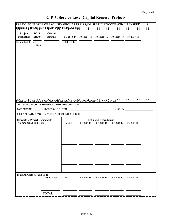|                                                                |                      | PART C: SCHEDULE OF FACILITY GROUP REPAIRS, OR SPECIFIED CODE AND LICENSURE<br><b>CORRECTIONS, AND COMPONENT FINANCING:</b> |            |            |                                                        |            |            |  |
|----------------------------------------------------------------|----------------------|-----------------------------------------------------------------------------------------------------------------------------|------------|------------|--------------------------------------------------------|------------|------------|--|
| Project<br><b>Description</b>                                  | <b>DMS</b><br>Bldg.# | <b>Critical</b><br>Routine                                                                                                  |            |            | FY 2013-14 FY 2014-15 FY 2015-16 FY 2016-17 FY 2017-18 |            |            |  |
| Bollard Installa on                                            | 9999                 |                                                                                                                             | 1,143,349  |            |                                                        |            |            |  |
|                                                                |                      |                                                                                                                             |            |            |                                                        |            |            |  |
|                                                                |                      |                                                                                                                             |            |            |                                                        |            |            |  |
|                                                                |                      |                                                                                                                             |            |            |                                                        |            |            |  |
|                                                                |                      |                                                                                                                             |            |            |                                                        |            |            |  |
|                                                                |                      |                                                                                                                             |            |            |                                                        |            |            |  |
|                                                                |                      |                                                                                                                             |            |            |                                                        |            |            |  |
|                                                                |                      |                                                                                                                             |            |            |                                                        |            |            |  |
|                                                                |                      |                                                                                                                             |            |            |                                                        |            |            |  |
|                                                                |                      | PART D. SCHEDULE OF MAJOR REPAIRS AND COMPONENT FINANCING.<br>BUILDING / FACILITY IDENTIFICATION / DESCRIPTION              |            |            |                                                        |            |            |  |
|                                                                |                      |                                                                                                                             |            |            |                                                        | COUNTY     |            |  |
|                                                                |                      | LRPP NARRATIVE PAGE ON WHICH PROJECT IS DESCRIBED ____                                                                      |            |            |                                                        |            |            |  |
| <b>Schedule of Project Components</b><br>(Component/Fund Code) |                      |                                                                                                                             | FY 2013-14 | FY 2014-15 | <b>Estimated Expenditures</b><br>FY 2015-16            | FY 2016-17 | FY 2017-18 |  |
|                                                                |                      |                                                                                                                             |            |            |                                                        |            |            |  |
|                                                                |                      |                                                                                                                             |            |            |                                                        |            |            |  |
|                                                                |                      |                                                                                                                             |            |            |                                                        |            |            |  |
|                                                                |                      |                                                                                                                             |            |            |                                                        |            |            |  |
|                                                                |                      |                                                                                                                             |            |            |                                                        |            |            |  |
|                                                                |                      |                                                                                                                             |            |            |                                                        |            |            |  |
|                                                                |                      |                                                                                                                             |            |            |                                                        |            |            |  |
|                                                                |                      |                                                                                                                             |            |            |                                                        |            |            |  |
| Total: All Costs by Fund Code                                  |                      | <b>Fund Code</b>                                                                                                            | FY 2013-14 | FY 2014-15 | FY 2015-16                                             | FY 2016-17 | FY 2017-18 |  |
|                                                                |                      |                                                                                                                             |            |            |                                                        |            |            |  |
|                                                                |                      | <b>TOTAL</b>                                                                                                                |            |            |                                                        |            |            |  |
|                                                                |                      |                                                                                                                             |            |            |                                                        |            |            |  |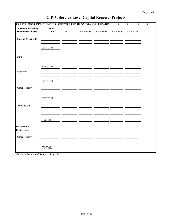| PART E: COST EFFICIENCIES ANTICIPATED FROM MAJOR REPAIRS: |                        |            |            |            |            |            |  |
|-----------------------------------------------------------|------------------------|------------|------------|------------|------------|------------|--|
| <b>Incremental Facility</b><br><b>Maintenance Costs</b>   | Fund<br>Code           | FY 2013-14 | FY 2014-15 | FY 2015-16 | FY 2016-17 | FY 2017-18 |  |
| Salaries & Benefits                                       |                        |            |            |            |            |            |  |
|                                                           | <b>SUBTOTAL</b>        |            |            |            |            |            |  |
| <b>OPS</b>                                                |                        |            |            |            |            |            |  |
|                                                           | ${\tt SUBTOTAL}$       |            |            |            |            |            |  |
| Expenses                                                  |                        |            |            |            |            |            |  |
|                                                           | ${\large\bf SUBTOTAL}$ |            |            |            |            |            |  |
| Other (specify)                                           |                        |            |            |            |            |            |  |
|                                                           | ${\tt SUBTOTAL}$       |            |            |            |            |            |  |
| <b>Fund Totals</b>                                        |                        |            |            |            |            |            |  |
|                                                           |                        |            |            |            |            |            |  |
| Incremental                                               | <b>TOTAL</b>           |            |            |            |            |            |  |
| <b>Utility Costs</b>                                      |                        |            |            |            |            |            |  |
| Other (specify)                                           |                        |            |            |            |            |            |  |
|                                                           | <b>TOTAL</b>           |            |            |            |            |            |  |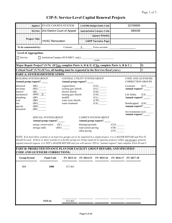|                                                       | <b>STATE COURTS SYSTEM</b><br>Agency:                                                                                                                                                                                                                             |                                                       |                            | <b>LAS/PBS Budget Entity Code:</b>                   |                     | 22100600                                              |                         |
|-------------------------------------------------------|-------------------------------------------------------------------------------------------------------------------------------------------------------------------------------------------------------------------------------------------------------------------|-------------------------------------------------------|----------------------------|------------------------------------------------------|---------------------|-------------------------------------------------------|-------------------------|
|                                                       | Service: 2nd District Court of Appeal                                                                                                                                                                                                                             |                                                       |                            | Appropriation Category Code:                         |                     | 080036                                                |                         |
|                                                       |                                                                                                                                                                                                                                                                   |                                                       |                            | <b>Agency Priority:</b>                              |                     |                                                       |                         |
| <b>Project Title:</b>                                 | <b>HVAC Renovation</b>                                                                                                                                                                                                                                            |                                                       |                            | <b>LRPP Narrative Page:</b>                          |                     |                                                       |                         |
| To be constructed by:                                 |                                                                                                                                                                                                                                                                   |                                                       | Contract $X$ Force account |                                                      |                     |                                                       |                         |
| <b>Level of Aggregation:</b>                          |                                                                                                                                                                                                                                                                   |                                                       |                            |                                                      |                     |                                                       |                         |
| □ Service                                             | $\Box$ Institution/Campus (SUS/SBCC only):                                                                                                                                                                                                                        |                                                       |                            | <b>NAME</b>                                          |                     |                                                       |                         |
|                                                       | Major Repair Project? (Y/N) (If Yes, complete Parts A, D & E; if No, complete Parts A, B & C.)                                                                                                                                                                    |                                                       |                            |                                                      |                     |                                                       | $\mathsf{N}$            |
|                                                       | Critical Need? (Y/N) (If Yes, all funding must be requested in the first two fiscal years.)                                                                                                                                                                       |                                                       |                            |                                                      |                     |                                                       |                         |
|                                                       |                                                                                                                                                                                                                                                                   |                                                       |                            |                                                      |                     |                                                       |                         |
| <b>BUILDING SYSTEM GROUP</b><br>Annual group request? |                                                                                                                                                                                                                                                                   | CENTRAL UTILITY SYSTEM GROUP<br>Annual group request? |                            |                                                      |                     | <b>CODE AND LICENSURE</b><br><b>CORRECTION GROUPS</b> |                         |
| electrical<br>envelope                                | $(BE)$ <sub>______</sub><br>$(BX)$ <sub>______</sub>                                                                                                                                                                                                              | cogeneration<br>cooling gen./distrib.                 |                            | (UG)<br>$(UC)$ <sub>______</sub>                     |                     | Licensure<br>Annual request? _____                    | $(LC)$ <sub>_____</sub> |
| interior<br>mechanical                                | $\frac{\text{(BI)}}{\text{(BM)} \underline{X}}$                                                                                                                                                                                                                   | electric distrib.                                     |                            |                                                      |                     | Life Safety                                           |                         |
| plumbing                                              | (BP)                                                                                                                                                                                                                                                              | heating gen./distrib.<br>landfill                     |                            | $(UH)$ <sub>______</sub><br>$(UL)$ <sub>______</sub> |                     | Annual request? _____                                 | $(LS)$ <sub>____</sub>  |
| roof<br>site                                          | (BR)<br>(BG)                                                                                                                                                                                                                                                      | water treat./distrib.<br>waste treatment              |                            | (UW)<br>(US)                                         |                     | Handicapped (LH)                                      |                         |
| special<br>structural                                 | (BD)<br>(BS)                                                                                                                                                                                                                                                      |                                                       |                            |                                                      |                     | Annual request? _____                                 |                         |
|                                                       |                                                                                                                                                                                                                                                                   |                                                       |                            |                                                      |                     | Environmental (LE)<br>Annual request? ____            |                         |
|                                                       | SPECIAL SYSTEM GROUP                                                                                                                                                                                                                                              |                                                       | <b>CAMPUS SYSTEM GROUP</b> |                                                      |                     |                                                       |                         |
|                                                       | Annual group request? _____<br>energy conservation (SC)                                                                                                                                                                                                           |                                                       | drainage/grounds           | Annual group request?                                | (CG)                |                                                       |                         |
|                                                       | storage tanks                                                                                                                                                                                                                                                     | $(BX)$ <sub>______</sub>                              | road system paving         |                                                      | $\frac{(CR)}{(CP)}$ |                                                       |                         |
|                                                       |                                                                                                                                                                                                                                                                   |                                                       | other paving               |                                                      |                     |                                                       |                         |
|                                                       | NOTE: If at least three systems or at least two groups are to be repaired in a single project, it is a MAJOR REPAIR and Part D<br>should be used. If three or more systems in a facility group are being repaired in separate projects within one group's general |                                                       |                            |                                                      |                     |                                                       |                         |
|                                                       | capital renewal request, it is NOT a MAJOR REPAIR and you will answer YES to "annual request" and complete Parts B and C.                                                                                                                                         |                                                       |                            |                                                      |                     |                                                       |                         |
|                                                       | PART B: PROJECTED FINANCE PLAN FOR FACILITY GROUP REPAIRS, AND SPECIFIED                                                                                                                                                                                          |                                                       |                            |                                                      |                     |                                                       |                         |
|                                                       | <b>CODE AND LICENSURE CORRECTIONS:</b>                                                                                                                                                                                                                            |                                                       |                            |                                                      |                     |                                                       |                         |
| Group/System                                          | <b>Fund Code</b>                                                                                                                                                                                                                                                  | FY 2013-14                                            | FY 2014-15                 | FY 2015-16                                           |                     | FY 2016-17 FY 2017-18                                 |                         |
| ${\rm BM}$                                            | 1000                                                                                                                                                                                                                                                              | 327,462                                               |                            |                                                      |                     |                                                       |                         |
|                                                       |                                                                                                                                                                                                                                                                   |                                                       |                            |                                                      |                     |                                                       |                         |
|                                                       |                                                                                                                                                                                                                                                                   |                                                       |                            |                                                      |                     |                                                       |                         |
|                                                       |                                                                                                                                                                                                                                                                   |                                                       |                            |                                                      |                     |                                                       |                         |
|                                                       |                                                                                                                                                                                                                                                                   |                                                       |                            |                                                      |                     |                                                       |                         |
|                                                       |                                                                                                                                                                                                                                                                   |                                                       |                            |                                                      |                     |                                                       |                         |
|                                                       |                                                                                                                                                                                                                                                                   |                                                       |                            |                                                      |                     |                                                       |                         |
|                                                       | <b>TOTAL</b>                                                                                                                                                                                                                                                      | 327,462                                               |                            |                                                      |                     |                                                       |                         |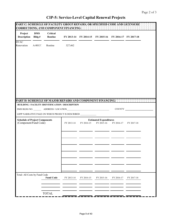ł.

| Project<br><b>Description</b>                                  | <b>DMS</b><br>Bldg.# | <b>Critical</b><br>Routine |                                                                |            | FY 2013-14 FY 2014-15 FY 2015-16 FY 2016-17 FY 2017-18 |               |            |  |
|----------------------------------------------------------------|----------------------|----------------------------|----------------------------------------------------------------|------------|--------------------------------------------------------|---------------|------------|--|
| <b>HVAC</b><br>Renovation                                      | A-00137              | Routine                    | 327,462                                                        |            |                                                        |               |            |  |
|                                                                |                      |                            |                                                                |            |                                                        |               |            |  |
|                                                                |                      |                            |                                                                |            |                                                        |               |            |  |
|                                                                |                      |                            |                                                                |            |                                                        |               |            |  |
|                                                                |                      |                            |                                                                |            |                                                        |               |            |  |
|                                                                |                      |                            | PART D. SCHEDULE OF MAJOR REPAIRS AND COMPONENT FINANCING.     |            |                                                        |               |            |  |
|                                                                |                      |                            | BUILDING / FACILITY IDENTIFICATION / DESCRIPTION               |            |                                                        |               |            |  |
|                                                                |                      |                            |                                                                |            |                                                        |               |            |  |
|                                                                |                      |                            |                                                                |            |                                                        | <b>COUNTY</b> |            |  |
|                                                                |                      |                            | LRPP NARRATIVE PAGE ON WHICH PROJECT IS DESCRIBED ____________ |            |                                                        |               |            |  |
| <b>Schedule of Project Components</b><br>(Component/Fund Code) |                      |                            | FY 2013-14                                                     | FY 2014-15 | <b>Estimated Expenditures</b><br>FY 2015-16            | FY 2016-17    | FY 2017-18 |  |
|                                                                |                      |                            |                                                                |            |                                                        |               |            |  |
|                                                                |                      |                            |                                                                |            |                                                        |               |            |  |
|                                                                |                      |                            |                                                                |            |                                                        |               |            |  |
|                                                                |                      |                            |                                                                |            |                                                        |               |            |  |
|                                                                |                      |                            |                                                                |            |                                                        |               |            |  |
|                                                                |                      |                            |                                                                |            |                                                        |               |            |  |
|                                                                |                      |                            |                                                                |            |                                                        |               |            |  |
|                                                                |                      |                            |                                                                |            |                                                        |               |            |  |
| Total: All Costs by Fund Code                                  |                      | <b>Fund Code</b>           | FY 2013-14                                                     | FY 2014-15 | FY 2015-16                                             | FY 2016-17    | FY 2017-18 |  |
|                                                                |                      |                            |                                                                |            |                                                        |               |            |  |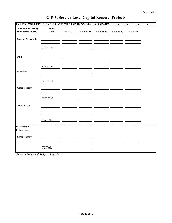| PART E: COST EFFICIENCIES ANTICIPATED FROM MAJOR REPAIRS: |                        |            |            |            |            |            |  |
|-----------------------------------------------------------|------------------------|------------|------------|------------|------------|------------|--|
| <b>Incremental Facility</b><br><b>Maintenance Costs</b>   | Fund<br>Code           | FY 2013-14 | FY 2014-15 | FY 2015-16 | FY 2016-17 | FY 2017-18 |  |
| Salaries & Benefits                                       |                        |            |            |            |            |            |  |
|                                                           | <b>SUBTOTAL</b>        |            |            |            |            |            |  |
| <b>OPS</b>                                                |                        |            |            |            |            |            |  |
|                                                           | ${\tt SUBTOTAL}$       |            |            |            |            |            |  |
| Expenses                                                  |                        |            |            |            |            |            |  |
|                                                           | ${\large\bf SUBTOTAL}$ |            |            |            |            |            |  |
| Other (specify)                                           |                        |            |            |            |            |            |  |
|                                                           | ${\tt SUBTOTAL}$       |            |            |            |            |            |  |
| <b>Fund Totals</b>                                        |                        |            |            |            |            |            |  |
|                                                           |                        |            |            |            |            |            |  |
| Incremental                                               | <b>TOTAL</b>           |            |            |            |            |            |  |
| <b>Utility Costs</b>                                      |                        |            |            |            |            |            |  |
| Other (specify)                                           |                        |            |            |            |            |            |  |
|                                                           | <b>TOTAL</b>           |            |            |            |            |            |  |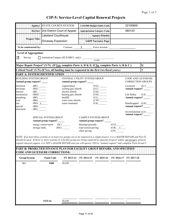|                                                       | Agency: STATE COURTS SYSTEM                                                                        |                            |                                                                                                                                                                                                                                                                                                                                                                                                |                                        | <b>LAS/PBS Budget Entity Code:</b>                                                                              |                                                                                                | 22100600                                       |              |
|-------------------------------------------------------|----------------------------------------------------------------------------------------------------|----------------------------|------------------------------------------------------------------------------------------------------------------------------------------------------------------------------------------------------------------------------------------------------------------------------------------------------------------------------------------------------------------------------------------------|----------------------------------------|-----------------------------------------------------------------------------------------------------------------|------------------------------------------------------------------------------------------------|------------------------------------------------|--------------|
|                                                       | Service: 2nd District Court of Appeal                                                              |                            |                                                                                                                                                                                                                                                                                                                                                                                                |                                        | <b>Appropriation Category Code:</b>                                                                             |                                                                                                | 080103                                         |              |
|                                                       |                                                                                                    | <b>Lakeland Courthouse</b> |                                                                                                                                                                                                                                                                                                                                                                                                |                                        | <b>Agency Priority</b>                                                                                          |                                                                                                |                                                |              |
|                                                       | <b>Project Title:</b>                                                                              | Driveway Expansion         |                                                                                                                                                                                                                                                                                                                                                                                                |                                        | <b>LRPP Narrative Page:</b>                                                                                     |                                                                                                |                                                |              |
| To be constructed by:                                 |                                                                                                    |                            |                                                                                                                                                                                                                                                                                                                                                                                                | Contract $X$ Force account             |                                                                                                                 |                                                                                                |                                                |              |
| <b>Level of Aggregation:</b>                          |                                                                                                    |                            |                                                                                                                                                                                                                                                                                                                                                                                                |                                        |                                                                                                                 |                                                                                                |                                                |              |
| Service<br>N                                          |                                                                                                    |                            | □ Institution/Campus (SUS/SBCC only): ____                                                                                                                                                                                                                                                                                                                                                     |                                        | <b>NAME</b>                                                                                                     |                                                                                                |                                                |              |
|                                                       |                                                                                                    |                            | Major Repair Project? (Y/N) (If Yes, complete Parts A, D & E; if No, complete Parts A, B & C.)                                                                                                                                                                                                                                                                                                 |                                        |                                                                                                                 |                                                                                                |                                                | $\mathsf{N}$ |
|                                                       |                                                                                                    |                            | Critical Need? (Y/N) (If Yes, all funding must be requested in the first two fiscal years.)                                                                                                                                                                                                                                                                                                    |                                        |                                                                                                                 |                                                                                                |                                                | Y            |
|                                                       |                                                                                                    |                            |                                                                                                                                                                                                                                                                                                                                                                                                |                                        |                                                                                                                 |                                                                                                |                                                |              |
| <b>BUILDING SYSTEM GROUP</b><br>Annual group request? |                                                                                                    |                            | CENTRAL UTILITY SYSTEM GROUP<br>Annual group request?                                                                                                                                                                                                                                                                                                                                          |                                        |                                                                                                                 |                                                                                                | CODE AND LICENSURE<br><b>CORRECTION GROUPS</b> |              |
| electrical<br>envelope<br>interior                    | $(BE)$ <sub>______</sub><br>(BX)                                                                   |                            | cogeneration<br>cooling gen./distrib.<br>electric distrib.                                                                                                                                                                                                                                                                                                                                     |                                        | $(UC)$ <sup>-</sup><br>$\overline{(UD)}$                                                                        |                                                                                                | Licensure<br>Annual request? _____             | (LC)         |
| mechanical<br>plumbing<br>roof                        | $\overline{\text{(BI)} \quad \text{(BM)}}$<br>$(BP)$ <sub>_____</sub><br>$(BR)$ <sub>_______</sub> |                            | heating gen./distrib.<br>landfill<br>water treat./distrib.                                                                                                                                                                                                                                                                                                                                     |                                        | $\begin{array}{c}\n\stackrel{\cdot}{\cdot} \text{UH)}\n\end{array}$ $\begin{array}{c}\n\text{UH)}\n\end{array}$ |                                                                                                | Life Safety<br>Annual request? _____           | (LS)         |
| site<br>special                                       | $(BG)$ $X$<br>(BD)                                                                                 |                            | waste treatment                                                                                                                                                                                                                                                                                                                                                                                |                                        | (US)                                                                                                            |                                                                                                | Handicapped (LH)<br>Annual request? _____      |              |
| structural                                            | (BS)                                                                                               |                            |                                                                                                                                                                                                                                                                                                                                                                                                |                                        |                                                                                                                 |                                                                                                | Environmental (LE) __                          |              |
|                                                       | SPECIAL SYSTEM GROUP<br>Annual group request? _____                                                |                            |                                                                                                                                                                                                                                                                                                                                                                                                | Annual group request? _                | <b>CAMPUS SYSTEM GROUP</b>                                                                                      |                                                                                                |                                                |              |
|                                                       | energy conservation (SC)<br>storage tanks                                                          |                            | (BX)                                                                                                                                                                                                                                                                                                                                                                                           | drainage/grounds<br>road system paving |                                                                                                                 | (CG)<br>$\overline{(CR)}$ $\overline{\phantom{}}$<br>$\overline{(CP)}$ $\overline{\phantom{}}$ |                                                |              |
|                                                       |                                                                                                    |                            |                                                                                                                                                                                                                                                                                                                                                                                                | other paving                           |                                                                                                                 |                                                                                                |                                                |              |
|                                                       |                                                                                                    |                            | NOTE: If at least three systems or at least two groups are to be repaired in a single project, it is a MAJOR REPAIR and Part D<br>should be used. If three or more systems in a facility group are being repaired in separate projects within one group's general<br>capital renewal request, it is NOT a MAJOR REPAIR and you will answer YES to "annual request" and complete Parts B and C. |                                        |                                                                                                                 |                                                                                                |                                                |              |
|                                                       | <b>CODE AND LICENSURE CORRECTIONS:</b>                                                             |                            | PART B: PROJECTED FINANCE PLAN FOR FACILITY GROUP REPAIRS, AND SPECIFIED                                                                                                                                                                                                                                                                                                                       |                                        |                                                                                                                 |                                                                                                |                                                |              |
| Group/System                                          |                                                                                                    | <b>Fund Code</b>           | FY 2013-14                                                                                                                                                                                                                                                                                                                                                                                     | FY 2014-15                             | FY 2015-16                                                                                                      |                                                                                                | FY 2016-17 FY 2017-18                          |              |
| $\mathbf{B}\mathbf{G}$                                |                                                                                                    | 1000                       | 30,450                                                                                                                                                                                                                                                                                                                                                                                         |                                        |                                                                                                                 |                                                                                                |                                                |              |
|                                                       |                                                                                                    |                            |                                                                                                                                                                                                                                                                                                                                                                                                |                                        |                                                                                                                 |                                                                                                |                                                |              |
|                                                       |                                                                                                    |                            |                                                                                                                                                                                                                                                                                                                                                                                                |                                        |                                                                                                                 |                                                                                                |                                                |              |
|                                                       |                                                                                                    |                            |                                                                                                                                                                                                                                                                                                                                                                                                |                                        |                                                                                                                 |                                                                                                |                                                |              |
|                                                       |                                                                                                    |                            |                                                                                                                                                                                                                                                                                                                                                                                                |                                        |                                                                                                                 |                                                                                                |                                                |              |
|                                                       |                                                                                                    |                            |                                                                                                                                                                                                                                                                                                                                                                                                |                                        |                                                                                                                 |                                                                                                |                                                |              |
|                                                       |                                                                                                    |                            |                                                                                                                                                                                                                                                                                                                                                                                                |                                        |                                                                                                                 |                                                                                                |                                                |              |
|                                                       | <b>TOTAL</b>                                                                                       |                            | 30,450                                                                                                                                                                                                                                                                                                                                                                                         |                                        |                                                                                                                 |                                                                                                |                                                |              |
|                                                       |                                                                                                    |                            |                                                                                                                                                                                                                                                                                                                                                                                                |                                        |                                                                                                                 |                                                                                                |                                                |              |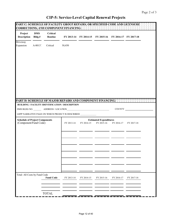$\overline{\phantom{a}}$ 

| Project<br><b>Description</b> | <b>DMS</b><br>Bldg.#  | <b>Critical</b><br>Routine            |                                                                | FY 2013-14 FY 2014-15 FY 2015-16 |                                             | FY 2016-17 FY 2017-18 |            |  |
|-------------------------------|-----------------------|---------------------------------------|----------------------------------------------------------------|----------------------------------|---------------------------------------------|-----------------------|------------|--|
| Driveway<br>Expansion         | A-00137               | Critical                              | 30,450                                                         |                                  |                                             |                       |            |  |
|                               |                       |                                       |                                                                |                                  |                                             |                       |            |  |
|                               |                       |                                       |                                                                |                                  |                                             |                       |            |  |
|                               |                       |                                       |                                                                |                                  |                                             |                       |            |  |
|                               |                       |                                       |                                                                |                                  |                                             |                       |            |  |
|                               |                       |                                       | PART D. SCHEDULE OF MAJOR REPAIRS AND COMPONENT FINANCING.     |                                  |                                             |                       |            |  |
|                               |                       |                                       | BUILDING / FACILITY IDENTIFICATION / DESCRIPTION               |                                  |                                             |                       |            |  |
|                               |                       |                                       |                                                                |                                  |                                             | <b>COUNTY</b>         |            |  |
|                               |                       |                                       | LRPP NARRATIVE PAGE ON WHICH PROJECT IS DESCRIBED ____________ |                                  |                                             |                       |            |  |
|                               |                       |                                       |                                                                |                                  |                                             |                       |            |  |
|                               | (Component/Fund Code) | <b>Schedule of Project Components</b> | FY 2013-14                                                     | FY 2014-15                       | <b>Estimated Expenditures</b><br>FY 2015-16 | FY 2016-17            | FY 2017-18 |  |
|                               |                       |                                       |                                                                |                                  |                                             |                       |            |  |
|                               |                       |                                       |                                                                |                                  |                                             |                       |            |  |
|                               |                       |                                       |                                                                |                                  |                                             |                       |            |  |
|                               |                       |                                       |                                                                |                                  |                                             |                       |            |  |
| Total: All Costs by Fund Code |                       | <b>Fund Code</b>                      | FY 2013-14                                                     | FY 2014-15                       | FY 2015-16                                  | FY 2016-17            | FY 2017-18 |  |
|                               |                       |                                       |                                                                |                                  |                                             |                       |            |  |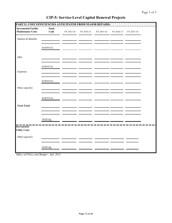| PART E: COST EFFICIENCIES ANTICIPATED FROM MAJOR REPAIRS |                        |            |            |            |            |            |  |
|----------------------------------------------------------|------------------------|------------|------------|------------|------------|------------|--|
| <b>Incremental Facility</b><br><b>Maintenance Costs</b>  | Fund<br>Code           | FY 2013-14 | FY 2014-15 | FY 2015-16 | FY 2016-17 | FY 2017-18 |  |
| Salaries & Benefits                                      |                        |            |            |            |            |            |  |
|                                                          | ${\tt SUBTOTAL}$       |            |            |            |            |            |  |
| <b>OPS</b>                                               |                        |            |            |            |            |            |  |
|                                                          | ${\tt SUBTOTAL}$       |            |            |            |            |            |  |
| Expenses                                                 |                        |            |            |            |            |            |  |
|                                                          | ${\large\bf SUBTOTAL}$ |            |            |            |            |            |  |
| Other (specify)                                          |                        |            |            |            |            |            |  |
|                                                          | <b>SUBTOTAL</b>        |            |            |            |            |            |  |
| <b>Fund Totals</b>                                       |                        |            |            |            |            |            |  |
|                                                          |                        |            |            |            |            |            |  |
| Incremental                                              | <b>TOTAL</b>           |            |            |            |            |            |  |
| <b>Utility Costs</b>                                     |                        |            |            |            |            |            |  |
| Other (specify)                                          |                        |            |            |            |            |            |  |
|                                                          | <b>TOTAL</b>           |            |            |            |            |            |  |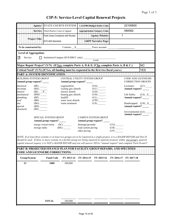|              |               | SPECIAL SYSTEM GROUP                                                                                                            |            |                    | <b>CAMPUS SYSTEM GROUP</b> |                         | Environmental (LE)<br>Annual request? |  |
|--------------|---------------|---------------------------------------------------------------------------------------------------------------------------------|------------|--------------------|----------------------------|-------------------------|---------------------------------------|--|
|              |               | Annual group request? _____                                                                                                     |            |                    | Annual group request?      |                         |                                       |  |
|              |               |                                                                                                                                 |            |                    |                            |                         |                                       |  |
|              |               |                                                                                                                                 |            |                    |                            |                         |                                       |  |
|              |               |                                                                                                                                 |            |                    |                            |                         |                                       |  |
|              |               | energy conservation                                                                                                             | (SC)       | drainage/grounds   |                            | (CG)                    |                                       |  |
|              | storage tanks |                                                                                                                                 | (BX)       | road system paving |                            |                         |                                       |  |
|              |               |                                                                                                                                 |            |                    |                            | $\overline{\text{C}R)}$ |                                       |  |
|              |               |                                                                                                                                 |            | other paving       |                            | (CP)                    |                                       |  |
|              |               |                                                                                                                                 |            |                    |                            |                         |                                       |  |
|              |               | NOTE: If at least three systems or at least two groups are to be repaired in a single project, it is a MAJOR REPAIR and Part D  |            |                    |                            |                         |                                       |  |
|              |               | should be used. If three or more systems in a facility group are being repaired in separate projects within one group's general |            |                    |                            |                         |                                       |  |
|              |               | capital renewal request, it is NOT a MAJOR REPAIR and you will answer YES to "annual request" and complete Parts B and C.       |            |                    |                            |                         |                                       |  |
|              |               | PART B: PROJECTED FINANCE PLAN FOR FACILITY GROUP REPAIRS, AND SPECIFIED                                                        |            |                    |                            |                         |                                       |  |
|              |               | <b>CODE AND LICENSURE CORRECTIONS:</b>                                                                                          |            |                    |                            |                         |                                       |  |
| Group/System |               | <b>Fund Code</b>                                                                                                                | FY 2013-14 | FY 2014-15         | FY 2015-16                 | FY 2016-17              | FY 2017-18                            |  |
| ${\rm BI}$   |               | 1000                                                                                                                            | 100,000    |                    |                            |                         |                                       |  |
|              |               |                                                                                                                                 |            |                    |                            |                         |                                       |  |
|              |               |                                                                                                                                 |            |                    |                            |                         |                                       |  |
|              |               |                                                                                                                                 |            |                    |                            |                         |                                       |  |
|              |               |                                                                                                                                 |            |                    |                            |                         |                                       |  |
|              |               |                                                                                                                                 |            |                    |                            |                         |                                       |  |
|              |               |                                                                                                                                 |            |                    |                            |                         |                                       |  |
|              |               |                                                                                                                                 |            |                    |                            |                         |                                       |  |
|              |               |                                                                                                                                 |            |                    |                            |                         |                                       |  |
|              |               | <b>TOTAL</b>                                                                                                                    | 100,000    |                    |                            |                         |                                       |  |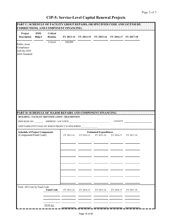| Critical<br>100,000<br>Public Areas<br>Compliance<br>with the 2010<br><b>ADA</b> Standard<br>PART D: SCHEDULE OF MAJOR REPAIRS AND COMPONENT FINANCING:<br><b>BUILDING / FACILITY IDENTIFICATION / DESCRIPTION</b><br>COUNTY<br><b>Schedule of Project Components</b><br><b>Estimated Expenditures</b><br>(Component/Fund Code)<br>FY 2015-16<br>FY 2013-14<br>FY 2014-15<br>FY 2016-17<br>FY 2017-18<br><b>Fund Code</b><br>FY 2013-14<br>FY 2014-15<br>FY 2015-16<br>FY 2016-17<br>FY 2017-18 | Project<br>Description | <b>DMS</b><br>Bldg.# | Critical<br>Routine |  | FY 2013-14 FY 2014-15 FY 2015-16 FY 2016-17 FY 2017-18 |  |  |
|-------------------------------------------------------------------------------------------------------------------------------------------------------------------------------------------------------------------------------------------------------------------------------------------------------------------------------------------------------------------------------------------------------------------------------------------------------------------------------------------------|------------------------|----------------------|---------------------|--|--------------------------------------------------------|--|--|
|                                                                                                                                                                                                                                                                                                                                                                                                                                                                                                 |                        |                      |                     |  |                                                        |  |  |
|                                                                                                                                                                                                                                                                                                                                                                                                                                                                                                 |                        |                      |                     |  |                                                        |  |  |
|                                                                                                                                                                                                                                                                                                                                                                                                                                                                                                 |                        |                      |                     |  |                                                        |  |  |
| LRPP NARRATIVE PAGE ON WHICH PROJECT IS DESCRIBED                                                                                                                                                                                                                                                                                                                                                                                                                                               |                        |                      |                     |  |                                                        |  |  |
| Total: All Costs by Fund Code                                                                                                                                                                                                                                                                                                                                                                                                                                                                   |                        |                      |                     |  |                                                        |  |  |
|                                                                                                                                                                                                                                                                                                                                                                                                                                                                                                 |                        |                      |                     |  |                                                        |  |  |
|                                                                                                                                                                                                                                                                                                                                                                                                                                                                                                 |                        |                      |                     |  |                                                        |  |  |
|                                                                                                                                                                                                                                                                                                                                                                                                                                                                                                 |                        |                      |                     |  |                                                        |  |  |
|                                                                                                                                                                                                                                                                                                                                                                                                                                                                                                 |                        |                      |                     |  |                                                        |  |  |
|                                                                                                                                                                                                                                                                                                                                                                                                                                                                                                 |                        |                      |                     |  |                                                        |  |  |
|                                                                                                                                                                                                                                                                                                                                                                                                                                                                                                 |                        |                      |                     |  |                                                        |  |  |
|                                                                                                                                                                                                                                                                                                                                                                                                                                                                                                 |                        |                      |                     |  |                                                        |  |  |
|                                                                                                                                                                                                                                                                                                                                                                                                                                                                                                 |                        |                      |                     |  |                                                        |  |  |
|                                                                                                                                                                                                                                                                                                                                                                                                                                                                                                 |                        |                      |                     |  |                                                        |  |  |
| <b>TOTAL</b>                                                                                                                                                                                                                                                                                                                                                                                                                                                                                    |                        |                      |                     |  |                                                        |  |  |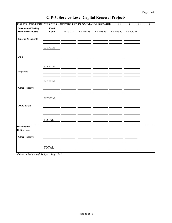| PART E: COST EFFICIENCIES ANTICIPATED FROM MAJOR REPAIRS: |                                  |            |            |            |            |            |  |
|-----------------------------------------------------------|----------------------------------|------------|------------|------------|------------|------------|--|
| <b>Incremental Facility</b><br><b>Maintenance Costs</b>   | Fund<br>Code                     | FY 2013-14 | FY 2014-15 | FY 2015-16 | FY 2016-17 | FY 2017-18 |  |
| Salaries & Benefits                                       |                                  |            |            |            |            |            |  |
|                                                           | ${\tt SUBTOTAL}$                 |            |            |            |            |            |  |
| <b>OPS</b>                                                |                                  |            |            |            |            |            |  |
|                                                           | ${\tt SUBTOTAL}$                 |            |            |            |            |            |  |
| Expenses                                                  |                                  |            |            |            |            |            |  |
|                                                           | ${\large\bf SUBTOTAL}$           |            |            |            |            |            |  |
| Other (specify)                                           |                                  |            |            |            |            |            |  |
|                                                           | $\ensuremath{\mathsf{SUBTOTAL}}$ |            |            |            |            |            |  |
| <b>Fund Totals</b>                                        |                                  |            |            |            |            |            |  |
|                                                           | <b>TOTAL</b>                     |            |            |            |            |            |  |
| <b>Incremental</b><br><b>Utility Costs</b>                |                                  |            |            |            |            |            |  |
| Other (specify)                                           |                                  |            |            |            |            |            |  |
|                                                           | <b>TOTAL</b>                     |            |            |            |            |            |  |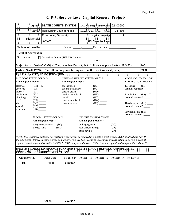|                                                            | Agency                                                       | <b>STATE COURTS SYSTEM</b>                                                                                                                                                                                                                                                                                                                                                                     |                                                            |                                                                                                                                                                                                                                                                                                                                                                                                                                                               | <b>AS/PBS Budget Entity Code:</b>                                                                                                     | 22100600                                          |                                                |             |
|------------------------------------------------------------|--------------------------------------------------------------|------------------------------------------------------------------------------------------------------------------------------------------------------------------------------------------------------------------------------------------------------------------------------------------------------------------------------------------------------------------------------------------------|------------------------------------------------------------|---------------------------------------------------------------------------------------------------------------------------------------------------------------------------------------------------------------------------------------------------------------------------------------------------------------------------------------------------------------------------------------------------------------------------------------------------------------|---------------------------------------------------------------------------------------------------------------------------------------|---------------------------------------------------|------------------------------------------------|-------------|
|                                                            |                                                              | Service: Third District Court of Appeal                                                                                                                                                                                                                                                                                                                                                        |                                                            |                                                                                                                                                                                                                                                                                                                                                                                                                                                               | <b>Appropriation Category Code:</b>                                                                                                   | 081401                                            |                                                |             |
|                                                            |                                                              | <b>Emergency Generator</b>                                                                                                                                                                                                                                                                                                                                                                     |                                                            |                                                                                                                                                                                                                                                                                                                                                                                                                                                               | <b>Agency Priority:</b>                                                                                                               | 1                                                 |                                                |             |
|                                                            | <b>Project Title:</b>                                        | System                                                                                                                                                                                                                                                                                                                                                                                         |                                                            |                                                                                                                                                                                                                                                                                                                                                                                                                                                               |                                                                                                                                       |                                                   |                                                |             |
| To be constructed by:                                      |                                                              |                                                                                                                                                                                                                                                                                                                                                                                                | Contract                                                   | $\boldsymbol{\mathrm{X}}$ and $\boldsymbol{\mathrm{X}}$ and $\boldsymbol{\mathrm{X}}$ and $\boldsymbol{\mathrm{X}}$ and $\boldsymbol{\mathrm{X}}$ and $\boldsymbol{\mathrm{X}}$ and $\boldsymbol{\mathrm{X}}$ and $\boldsymbol{\mathrm{X}}$ and $\boldsymbol{\mathrm{X}}$ and $\boldsymbol{\mathrm{X}}$ and $\boldsymbol{\mathrm{X}}$ and $\boldsymbol{\mathrm{X}}$ and $\boldsymbol{\mathrm{X}}$ and $\boldsymbol{\mathrm{X}}$ and $\boldsymbol{\mathrm{X}}$ | Force account                                                                                                                         |                                                   |                                                |             |
| <b>Level of Aggregation:</b>                               |                                                              |                                                                                                                                                                                                                                                                                                                                                                                                |                                                            |                                                                                                                                                                                                                                                                                                                                                                                                                                                               |                                                                                                                                       |                                                   |                                                |             |
| Service<br>IЖ                                              |                                                              | $\Box$ Institution/Campus (SUS/SBCC only):                                                                                                                                                                                                                                                                                                                                                     |                                                            |                                                                                                                                                                                                                                                                                                                                                                                                                                                               | <b>NAME</b>                                                                                                                           |                                                   |                                                |             |
|                                                            |                                                              | Major Repair Project? (Y/N) (If <u>Yes,</u> complete Parts A, D & E; if No, complete Parts A, B & C.)                                                                                                                                                                                                                                                                                          |                                                            |                                                                                                                                                                                                                                                                                                                                                                                                                                                               |                                                                                                                                       |                                                   |                                                | <b>NO</b>   |
|                                                            |                                                              | Critical Need? (Y/N) (If Yes, all funding must be requested in the first two fiscal years.)                                                                                                                                                                                                                                                                                                    |                                                            |                                                                                                                                                                                                                                                                                                                                                                                                                                                               |                                                                                                                                       |                                                   |                                                | <b>YES</b>  |
|                                                            |                                                              | PART A: SYSTEM IDENTIFICATION FEEDER FEEDER                                                                                                                                                                                                                                                                                                                                                    |                                                            |                                                                                                                                                                                                                                                                                                                                                                                                                                                               |                                                                                                                                       |                                                   |                                                |             |
| <b>BUILDING SYSTEM GROUP</b><br>Annual group request? ____ |                                                              |                                                                                                                                                                                                                                                                                                                                                                                                | CENTRAL UTILITY SYSTEM GROUP<br>Annual group request? _    |                                                                                                                                                                                                                                                                                                                                                                                                                                                               |                                                                                                                                       |                                                   | CODE AND LICENSURE<br><b>CORRECTION GROUPS</b> |             |
| electrical<br>envelope<br>interior                         | $(BE)$ $X$<br>$(BX)$ <sub>______</sub><br>(BI)               |                                                                                                                                                                                                                                                                                                                                                                                                | cogeneration<br>cooling gen./distrib.<br>electric distrib. |                                                                                                                                                                                                                                                                                                                                                                                                                                                               | $(UC)$ <sub>______</sub><br>$\frac{1}{(UD)}$                                                                                          |                                                   | Licensure<br>Annual request? _____             | (LC)        |
| mechanical<br>plumbing                                     | (BM)<br>$(BP)$ <sub>_____</sub>                              |                                                                                                                                                                                                                                                                                                                                                                                                | heating gen./distrib.<br>landfill                          |                                                                                                                                                                                                                                                                                                                                                                                                                                                               | (UH)<br>${\rm (UL)} \begin{tabular}{c} \begin{tabular}{ c c } \hline \quad \quad & \quad \quad \\ \hline \end{tabular} \end{tabular}$ |                                                   | Life Safety<br>Annual request? _____           | $(LS)$ $X_$ |
| roof<br>site<br>special                                    | $(BR)$ <sub>______</sub><br>$(BG)$ <sub>______</sub><br>(BD) |                                                                                                                                                                                                                                                                                                                                                                                                | water treat./distrib.<br>waste treatment                   |                                                                                                                                                                                                                                                                                                                                                                                                                                                               |                                                                                                                                       |                                                   | Handicapped (LH)<br>Annual request? _____      |             |
| structural                                                 | (BS)                                                         |                                                                                                                                                                                                                                                                                                                                                                                                |                                                            |                                                                                                                                                                                                                                                                                                                                                                                                                                                               |                                                                                                                                       |                                                   | Environmental (LE) __                          |             |
|                                                            |                                                              | SPECIAL SYSTEM GROUP<br>Annual group request? _____                                                                                                                                                                                                                                                                                                                                            |                                                            | Annual group request? _                                                                                                                                                                                                                                                                                                                                                                                                                                       | <b>CAMPUS SYSTEM GROUP</b>                                                                                                            |                                                   |                                                |             |
|                                                            | storage tanks                                                | energy conservation (SC)                                                                                                                                                                                                                                                                                                                                                                       | (BX)                                                       | drainage/grounds<br>road system paving<br>other paving                                                                                                                                                                                                                                                                                                                                                                                                        |                                                                                                                                       | (CG)<br>$\overline{(CR)}$ $\overline{\phantom{}}$ |                                                |             |
|                                                            |                                                              | NOTE: If at least three systems or at least two groups are to be repaired in a single project, it is a MAJOR REPAIR and Part D<br>should be used. If three or more systems in a facility group are being repaired in separate projects within one group's general<br>capital renewal request, it is NOT a MAJOR REPAIR and you will answer YES to "annual request" and complete Parts B and C. |                                                            |                                                                                                                                                                                                                                                                                                                                                                                                                                                               |                                                                                                                                       |                                                   |                                                |             |
|                                                            |                                                              | PART B: PROJECTED FINANCE PLAN FOR FACILITY GROUP REPAIRS, AND SPECIFIED<br><b>CODE AND LICENSURE CORRECTIONS:</b>                                                                                                                                                                                                                                                                             |                                                            |                                                                                                                                                                                                                                                                                                                                                                                                                                                               |                                                                                                                                       |                                                   |                                                |             |
| Group/System                                               |                                                              | <b>Fund Code</b>                                                                                                                                                                                                                                                                                                                                                                               | FY 2013-14                                                 | FY 2014-15                                                                                                                                                                                                                                                                                                                                                                                                                                                    | FY 2015-16                                                                                                                            | FY 2016-17                                        | FY 2017-18                                     |             |
| <b>BE</b>                                                  |                                                              | 1000                                                                                                                                                                                                                                                                                                                                                                                           | 203,947                                                    |                                                                                                                                                                                                                                                                                                                                                                                                                                                               |                                                                                                                                       |                                                   |                                                |             |
|                                                            |                                                              |                                                                                                                                                                                                                                                                                                                                                                                                |                                                            |                                                                                                                                                                                                                                                                                                                                                                                                                                                               |                                                                                                                                       |                                                   |                                                |             |
|                                                            |                                                              |                                                                                                                                                                                                                                                                                                                                                                                                |                                                            |                                                                                                                                                                                                                                                                                                                                                                                                                                                               |                                                                                                                                       |                                                   |                                                |             |
|                                                            |                                                              |                                                                                                                                                                                                                                                                                                                                                                                                |                                                            |                                                                                                                                                                                                                                                                                                                                                                                                                                                               |                                                                                                                                       |                                                   |                                                |             |
|                                                            |                                                              |                                                                                                                                                                                                                                                                                                                                                                                                |                                                            |                                                                                                                                                                                                                                                                                                                                                                                                                                                               |                                                                                                                                       |                                                   |                                                |             |
|                                                            |                                                              |                                                                                                                                                                                                                                                                                                                                                                                                |                                                            |                                                                                                                                                                                                                                                                                                                                                                                                                                                               |                                                                                                                                       |                                                   |                                                |             |
|                                                            |                                                              |                                                                                                                                                                                                                                                                                                                                                                                                |                                                            |                                                                                                                                                                                                                                                                                                                                                                                                                                                               |                                                                                                                                       |                                                   |                                                |             |
|                                                            |                                                              | <b>TOTAL</b>                                                                                                                                                                                                                                                                                                                                                                                   | 203,947                                                    |                                                                                                                                                                                                                                                                                                                                                                                                                                                               |                                                                                                                                       |                                                   |                                                |             |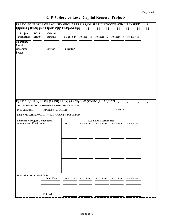|                                                                     |                      | PART C: SCHEDULE OF FACILITY GROUP REPAIRS, OR SPECIFIED CODE AND LICENSURE :<br><b>CORRECTIONS, AND COMPONENT FINANCING:</b> |            |            |                                                        |            |            |  |
|---------------------------------------------------------------------|----------------------|-------------------------------------------------------------------------------------------------------------------------------|------------|------------|--------------------------------------------------------|------------|------------|--|
| Project<br><b>Description</b>                                       | <b>DMS</b><br>Bldg.# | Critical<br>Routine                                                                                                           |            |            | FY 2013-14 FY 2014-15 FY 2015-16 FY 2016-17 FY 2017-18 |            |            |  |
| <b>Emergency</b><br><b>Electrical</b><br>Generator<br><b>System</b> |                      | <b>Critical</b>                                                                                                               | 203,947    |            |                                                        |            |            |  |
|                                                                     |                      |                                                                                                                               |            |            |                                                        |            |            |  |
|                                                                     |                      |                                                                                                                               |            |            |                                                        |            |            |  |
|                                                                     |                      | PART DESCHEDULE OF MAJOR REPAIRS AND COMPONENT FINANCING: : : : : : : : : : : : : : : : : : :                                 |            |            |                                                        |            |            |  |
|                                                                     |                      | <b>BUILDING / FACILITY IDENTIFICATION / DESCRIPTION</b>                                                                       |            |            |                                                        |            |            |  |
|                                                                     |                      |                                                                                                                               |            |            |                                                        |            | COUNTY     |  |
|                                                                     |                      | LRPP NARRATIVE PAGE ON WHICH PROJECT IS DESCRIBED _____________                                                               |            |            |                                                        |            |            |  |
| <b>Schedule of Project Components</b><br>(Component/Fund Code)      |                      |                                                                                                                               | FY 2013-14 | FY 2014-15 | <b>Estimated Expenditures</b><br>FY 2015-16            | FY 2016-17 | FY 2017-18 |  |
|                                                                     |                      |                                                                                                                               |            |            |                                                        |            |            |  |
|                                                                     |                      |                                                                                                                               |            |            |                                                        |            |            |  |
|                                                                     |                      |                                                                                                                               |            |            |                                                        |            |            |  |
| Total: All Costs by Fund Code                                       |                      | <b>Fund Code</b>                                                                                                              | FY 2013-14 | FY 2014-15 | FY 2015-16                                             | FY 2016-17 | FY 2017-18 |  |
|                                                                     |                      | <b>TOTAL</b>                                                                                                                  |            |            |                                                        |            |            |  |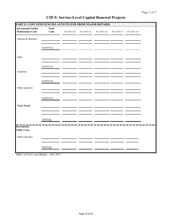| PART E: COST EFFICIENCIES ANTICIPATED FROM MAJOR REPAIRS |                        |            |            |            |            |            |  |
|----------------------------------------------------------|------------------------|------------|------------|------------|------------|------------|--|
| <b>Incremental Facility</b><br><b>Maintenance Costs</b>  | Fund<br>Code           | FY 2013-14 | FY 2014-15 | FY 2015-16 | FY 2016-17 | FY 2017-18 |  |
| Salaries & Benefits                                      |                        |            |            |            |            |            |  |
|                                                          | ${\tt SUBTOTAL}$       |            |            |            |            |            |  |
| <b>OPS</b>                                               |                        |            |            |            |            |            |  |
|                                                          | ${\tt SUBTOTAL}$       |            |            |            |            |            |  |
| Expenses                                                 |                        |            |            |            |            |            |  |
|                                                          | ${\large\bf SUBTOTAL}$ |            |            |            |            |            |  |
| Other (specify)                                          |                        |            |            |            |            |            |  |
|                                                          | <b>SUBTOTAL</b>        |            |            |            |            |            |  |
| <b>Fund Totals</b>                                       |                        |            |            |            |            |            |  |
|                                                          |                        |            |            |            |            |            |  |
| Incremental                                              | <b>TOTAL</b>           |            |            |            |            |            |  |
| <b>Utility Costs</b>                                     |                        |            |            |            |            |            |  |
| Other (specify)                                          |                        |            |            |            |            |            |  |
|                                                          | <b>TOTAL</b>           |            |            |            |            |            |  |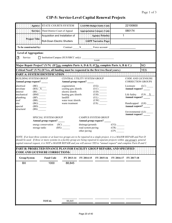|                                                       | Agency:                                                             | <b>STATE COURTS SYSTEM</b>                                                                                                                                                                                                                                                                                                                                                                     |                                                                                 |                                                        | <b>LAS/PBS Budget Entity Code:</b>                  |                                        | 22100600                                       |            |
|-------------------------------------------------------|---------------------------------------------------------------------|------------------------------------------------------------------------------------------------------------------------------------------------------------------------------------------------------------------------------------------------------------------------------------------------------------------------------------------------------------------------------------------------|---------------------------------------------------------------------------------|--------------------------------------------------------|-----------------------------------------------------|----------------------------------------|------------------------------------------------|------------|
|                                                       |                                                                     | Service: Third District Court of Appeal                                                                                                                                                                                                                                                                                                                                                        |                                                                                 |                                                        | <b>Appropriation Category Code:</b>                 |                                        | 080174                                         |            |
|                                                       |                                                                     | Acquisition and Installation of                                                                                                                                                                                                                                                                                                                                                                |                                                                                 |                                                        | <b>Agency Priority:</b>                             | $\mathbf{1}$                           |                                                |            |
|                                                       | <b>Project Title:</b>                                               | Roll-Down Electric Shutters                                                                                                                                                                                                                                                                                                                                                                    |                                                                                 |                                                        | <b>LRPP Narrative Page</b>                          |                                        |                                                |            |
| To be constructed by:                                 |                                                                     |                                                                                                                                                                                                                                                                                                                                                                                                |                                                                                 | Contract X Force account                               |                                                     |                                        |                                                |            |
| <b>Level of Aggregation:</b>                          |                                                                     |                                                                                                                                                                                                                                                                                                                                                                                                |                                                                                 |                                                        |                                                     |                                        |                                                |            |
| Service<br>ГĂ                                         |                                                                     | $\Box$ Institution/Campus (SUS/SBCC only):                                                                                                                                                                                                                                                                                                                                                     |                                                                                 |                                                        | <b>NAME</b>                                         |                                        |                                                |            |
|                                                       |                                                                     | Major Repair Project? (Y/N) (If Yes, complete Parts A, D & E; if No, complete Parts A, B & C.)                                                                                                                                                                                                                                                                                                 |                                                                                 |                                                        |                                                     |                                        |                                                | <b>NO</b>  |
|                                                       |                                                                     | Critical Need? (Y/N) (If Yes, all funding must be requested in the first two fiscal years.)                                                                                                                                                                                                                                                                                                    |                                                                                 |                                                        |                                                     |                                        |                                                | <b>YES</b> |
|                                                       |                                                                     | PART A: SYSTEM IDENTIFICATION : ENERGY ENERGY ENERGY ENERGY ENERGY                                                                                                                                                                                                                                                                                                                             |                                                                                 |                                                        |                                                     |                                        |                                                |            |
| <b>BUILDING SYSTEM GROUP</b><br>Annual group request? |                                                                     |                                                                                                                                                                                                                                                                                                                                                                                                | CENTRAL UTILITY SYSTEM GROUP<br>Annual group request?                           |                                                        |                                                     |                                        | CODE AND LICENSURE<br><b>CORRECTION GROUPS</b> |            |
| electrical<br>envelope                                | $\frac{(BE)}{(BX) 1}$                                               |                                                                                                                                                                                                                                                                                                                                                                                                | cogeneration<br>cooling gen./distrib.                                           |                                                        |                                                     |                                        | Licensure<br>Annual request?                   | (LC)       |
| interior<br>mechanical<br>plumbing<br>roof            | (BI)<br>(BM)<br>$(BP)$ <sub>_____</sub><br>$(BR)$ <sub>______</sub> |                                                                                                                                                                                                                                                                                                                                                                                                | electric distrib.<br>heating gen./distrib.<br>landfill<br>water treat./distrib. |                                                        | (UH)<br>$(UL)$ <sub>______</sub>                    |                                        | Life Safety<br>Annual request? _____           | $(LS)$ $X$ |
| site<br>special<br>structural                         | (BG)<br>(BD)<br>(BS)                                                |                                                                                                                                                                                                                                                                                                                                                                                                | waste treatment                                                                 |                                                        | (US)                                                |                                        | Handicapped (LH)<br>Annual request? _____      |            |
|                                                       |                                                                     | SPECIAL SYSTEM GROUP<br>Annual group request? _____                                                                                                                                                                                                                                                                                                                                            |                                                                                 |                                                        | <b>CAMPUS SYSTEM GROUP</b><br>Annual group request? |                                        | Environmental (LE)                             |            |
|                                                       | storage tanks                                                       | energy conservation (SC)                                                                                                                                                                                                                                                                                                                                                                       |                                                                                 | drainage/grounds<br>road system paving<br>other paving |                                                     | (CG)<br>$\overline{(CR)}$ $\overline{$ |                                                |            |
|                                                       |                                                                     | NOTE: If at least three systems or at least two groups are to be repaired in a single project, it is a MAJOR REPAIR and Part D<br>should be used. If three or more systems in a facility group are being repaired in separate projects within one group's general<br>capital renewal request, it is NOT a MAJOR REPAIR and you will answer YES to "annual request" and complete Parts B and C. |                                                                                 |                                                        |                                                     |                                        |                                                |            |
|                                                       |                                                                     | PART B: PROJECTED FINANCE PLAN FOR FACILITY GROUP REPAIRS, AND SPECIFIED<br><b>CODE AND LICENSURE CORRECTIONS:</b>                                                                                                                                                                                                                                                                             |                                                                                 |                                                        |                                                     |                                        |                                                |            |
| Group/System                                          |                                                                     | <b>Fund Code</b>                                                                                                                                                                                                                                                                                                                                                                               | FY 2013-14                                                                      | FY 2014-15                                             | FY 2015-16                                          | FY 2016-17                             | FY 2017-18                                     |            |
| BX                                                    |                                                                     | 1000                                                                                                                                                                                                                                                                                                                                                                                           | 88,845                                                                          |                                                        |                                                     |                                        |                                                |            |
|                                                       |                                                                     |                                                                                                                                                                                                                                                                                                                                                                                                |                                                                                 |                                                        |                                                     |                                        |                                                |            |
|                                                       |                                                                     |                                                                                                                                                                                                                                                                                                                                                                                                |                                                                                 |                                                        |                                                     |                                        |                                                |            |
|                                                       |                                                                     |                                                                                                                                                                                                                                                                                                                                                                                                |                                                                                 |                                                        |                                                     |                                        |                                                |            |
|                                                       |                                                                     |                                                                                                                                                                                                                                                                                                                                                                                                |                                                                                 |                                                        |                                                     |                                        |                                                |            |
|                                                       |                                                                     |                                                                                                                                                                                                                                                                                                                                                                                                |                                                                                 |                                                        |                                                     |                                        |                                                |            |
|                                                       |                                                                     |                                                                                                                                                                                                                                                                                                                                                                                                |                                                                                 |                                                        |                                                     |                                        |                                                |            |
|                                                       |                                                                     |                                                                                                                                                                                                                                                                                                                                                                                                |                                                                                 |                                                        |                                                     |                                        |                                                |            |
|                                                       |                                                                     | <b>TOTAL</b>                                                                                                                                                                                                                                                                                                                                                                                   | 88,845                                                                          |                                                        |                                                     |                                        |                                                |            |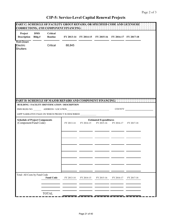ł.

| <b>Description</b>                                             | <b>DMS</b><br>Bldg.# | Critical<br>Routine |                                                                                                                       |            | FY 2013-14 FY 2014-15 FY 2015-16 FY 2016-17 FY 2017-18 |               |            |  |
|----------------------------------------------------------------|----------------------|---------------------|-----------------------------------------------------------------------------------------------------------------------|------------|--------------------------------------------------------|---------------|------------|--|
| Roll-Down<br>Electric<br><b>Shutters</b>                       |                      | Critical            | 88,845                                                                                                                |            |                                                        |               |            |  |
|                                                                |                      |                     | PART D: SCHEDULE OF MAJOR REPAIRS AND COMPONENT FINANCING.<br><b>BUILDING / FACILITY IDENTIFICATION / DESCRIPTION</b> |            |                                                        | <b>COUNTY</b> |            |  |
|                                                                |                      |                     | LRPP NARRATIVE PAGE ON WHICH PROJECT IS DESCRIBED ______________                                                      |            |                                                        |               |            |  |
| <b>Schedule of Project Components</b><br>(Component/Fund Code) |                      |                     | FY 2013-14                                                                                                            | FY 2014-15 | <b>Estimated Expenditures</b><br>FY 2015-16            | FY 2016-17    | FY 2017-18 |  |
|                                                                |                      |                     |                                                                                                                       |            |                                                        |               |            |  |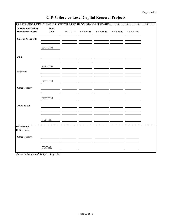| PART E: COST EFFICIENCIES ANTICIPATED FROM MAJOR REPAIRS: |                        |            |            |            |            |            |  |
|-----------------------------------------------------------|------------------------|------------|------------|------------|------------|------------|--|
| <b>Incremental Facility</b><br><b>Maintenance Costs</b>   | Fund<br>Code           | FY 2013-14 | FY 2014-15 | FY 2015-16 | FY 2016-17 | FY 2017-18 |  |
| Salaries & Benefits                                       |                        |            |            |            |            |            |  |
|                                                           | <b>SUBTOTAL</b>        |            |            |            |            |            |  |
| <b>OPS</b>                                                |                        |            |            |            |            |            |  |
|                                                           | ${\tt SUBTOTAL}$       |            |            |            |            |            |  |
| Expenses                                                  |                        |            |            |            |            |            |  |
|                                                           | ${\large\bf SUBTOTAL}$ |            |            |            |            |            |  |
| Other (specify)                                           |                        |            |            |            |            |            |  |
|                                                           | <b>SUBTOTAL</b>        |            |            |            |            |            |  |
| <b>Fund Totals</b>                                        |                        |            |            |            |            |            |  |
|                                                           |                        |            |            |            |            |            |  |
| <b>Incremental</b>                                        | <b>TOTAL</b>           |            |            |            |            |            |  |
| <b>Utility Costs</b>                                      |                        |            |            |            |            |            |  |
| Other (specify)                                           |                        |            |            |            |            |            |  |
|                                                           | <b>TOTAL</b>           |            |            |            |            |            |  |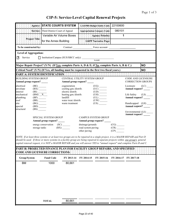|                                                       |                                                                                                              | Agency: STATE COURTS SYSTEM                                                                                                                                                                                                                                                                                                                                                                    |                                                            |                                                        | <b>LAS/PBS Budget Entity Code:</b>                       | 22100600                 |                                                       |           |
|-------------------------------------------------------|--------------------------------------------------------------------------------------------------------------|------------------------------------------------------------------------------------------------------------------------------------------------------------------------------------------------------------------------------------------------------------------------------------------------------------------------------------------------------------------------------------------------|------------------------------------------------------------|--------------------------------------------------------|----------------------------------------------------------|--------------------------|-------------------------------------------------------|-----------|
|                                                       |                                                                                                              | Service: Third District Court of Appeal                                                                                                                                                                                                                                                                                                                                                        |                                                            |                                                        | <b>Appropriation Category Code:</b>                      | 080101                   |                                                       |           |
|                                                       |                                                                                                              | Variable Air Volume Boxes                                                                                                                                                                                                                                                                                                                                                                      |                                                            |                                                        | <b>Agency Priority:</b>                                  | 1                        |                                                       |           |
|                                                       | <b>Project Title:</b>                                                                                        | for the Annex Building                                                                                                                                                                                                                                                                                                                                                                         |                                                            |                                                        | <b>LRPP Narrative Page:</b><br><b>Industrial Control</b> |                          |                                                       |           |
| To be constructed by:                                 |                                                                                                              |                                                                                                                                                                                                                                                                                                                                                                                                |                                                            |                                                        | Contract Force account                                   |                          |                                                       |           |
| <b>Level of Aggregation:</b>                          |                                                                                                              |                                                                                                                                                                                                                                                                                                                                                                                                |                                                            |                                                        |                                                          |                          |                                                       |           |
| Service<br>IЖ                                         |                                                                                                              | □ Institution/Campus (SUS/SBCC only): ________                                                                                                                                                                                                                                                                                                                                                 |                                                            |                                                        | <b>NAME</b>                                              |                          |                                                       |           |
|                                                       |                                                                                                              | Major Repair Project? (Y/N) (If <u>Yes,</u> complete Parts A, D & E; if <u>No</u> , complete Parts A, B & C.)                                                                                                                                                                                                                                                                                  |                                                            |                                                        |                                                          |                          |                                                       | <b>NO</b> |
|                                                       |                                                                                                              | Critical Need? (Y/N) (If Yes, all funding must be requested in the first two fiscal years.)                                                                                                                                                                                                                                                                                                    |                                                            |                                                        |                                                          |                          |                                                       | <b>NO</b> |
|                                                       |                                                                                                              |                                                                                                                                                                                                                                                                                                                                                                                                |                                                            |                                                        |                                                          |                          |                                                       |           |
| <b>BUILDING SYSTEM GROUP</b><br>Annual group request? |                                                                                                              |                                                                                                                                                                                                                                                                                                                                                                                                | CENTRAL UTILITY SYSTEM GROUP<br>Annual group request?      |                                                        |                                                          |                          | <b>CODE AND LICENSURE</b><br><b>CORRECTION GROUPS</b> |           |
| electrical<br>envelope<br>interior                    | $(BE)$ <sub>______</sub><br>$(BX)$ <sub>______</sub>                                                         |                                                                                                                                                                                                                                                                                                                                                                                                | cogeneration<br>cooling gen./distrib.<br>electric distrib. |                                                        | $(UC)$ <sup>-</sup><br>$\overline{(UD)}$                 |                          | Licensure<br>Annual request?                          | (LC)      |
| mechanical<br>plumbing                                | $\frac{\text{(BI)} \quad \text{(BM)} \quad \text{X}}{\text{(BM)} \quad \text{X}}$<br>$(BP)$ <sub>_____</sub> |                                                                                                                                                                                                                                                                                                                                                                                                | heating gen./distrib.<br>landfill<br>water treat./distrib. |                                                        | (UH)<br>(UL)                                             |                          | Life Safety<br>Annual request? _____                  |           |
| roof<br>site<br>special                               | (BR)<br>(BG)<br>(BD)                                                                                         |                                                                                                                                                                                                                                                                                                                                                                                                | waste treatment                                            |                                                        |                                                          |                          | Handicapped (LH)<br>Annual request?                   |           |
| structural                                            | (BS)                                                                                                         |                                                                                                                                                                                                                                                                                                                                                                                                |                                                            |                                                        |                                                          |                          | Environmental (LE)                                    |           |
|                                                       |                                                                                                              | SPECIAL SYSTEM GROUP<br>Annual group request? _____                                                                                                                                                                                                                                                                                                                                            |                                                            | Annual group request? __                               | <b>CAMPUS SYSTEM GROUP</b>                               |                          |                                                       |           |
|                                                       | storage tanks                                                                                                | energy conservation (SC)                                                                                                                                                                                                                                                                                                                                                                       | (BX)                                                       | drainage/grounds<br>road system paving<br>other paving |                                                          | $(CG)$ <sub>______</sub> |                                                       |           |
|                                                       |                                                                                                              | NOTE: If at least three systems or at least two groups are to be repaired in a single project, it is a MAJOR REPAIR and Part D<br>should be used. If three or more systems in a facility group are being repaired in separate projects within one group's general<br>capital renewal request, it is NOT a MAJOR REPAIR and you will answer YES to "annual request" and complete Parts B and C. |                                                            |                                                        |                                                          |                          |                                                       |           |
|                                                       |                                                                                                              | PART B: PROJECTED FINANCE PLAN FOR FACILITY GROUP REPAIRS, AND SPECIFIED<br><b>CODE AND LICENSURE CORRECTIONS:</b>                                                                                                                                                                                                                                                                             |                                                            |                                                        |                                                          |                          |                                                       |           |
| Group/System                                          |                                                                                                              | <b>Fund Code</b>                                                                                                                                                                                                                                                                                                                                                                               | FY 2013-14                                                 | FY 2014-15                                             | FY 2015-16                                               | FY 2016-17               | FY 2017-18                                            |           |
| <b>BM</b>                                             |                                                                                                              | 1000                                                                                                                                                                                                                                                                                                                                                                                           | 80,661                                                     |                                                        |                                                          |                          |                                                       |           |
|                                                       |                                                                                                              |                                                                                                                                                                                                                                                                                                                                                                                                |                                                            |                                                        |                                                          |                          |                                                       |           |
|                                                       |                                                                                                              |                                                                                                                                                                                                                                                                                                                                                                                                |                                                            |                                                        |                                                          |                          |                                                       |           |
|                                                       |                                                                                                              |                                                                                                                                                                                                                                                                                                                                                                                                |                                                            |                                                        |                                                          |                          |                                                       |           |
|                                                       |                                                                                                              |                                                                                                                                                                                                                                                                                                                                                                                                |                                                            |                                                        |                                                          |                          |                                                       |           |
|                                                       |                                                                                                              |                                                                                                                                                                                                                                                                                                                                                                                                |                                                            |                                                        |                                                          |                          |                                                       |           |
|                                                       |                                                                                                              |                                                                                                                                                                                                                                                                                                                                                                                                |                                                            |                                                        |                                                          |                          |                                                       |           |
|                                                       |                                                                                                              |                                                                                                                                                                                                                                                                                                                                                                                                |                                                            |                                                        |                                                          |                          |                                                       |           |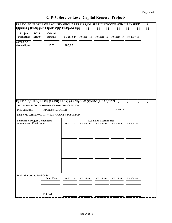ł.

| Project<br><b>Description</b>                                  | <b>DMS</b><br>Bldg.# | Critical<br>Routine |                                                                                                                                          |            | FY 2013-14 FY 2014-15 FY 2015-16 FY 2016-17 FY 2017-18 |            |            |  |
|----------------------------------------------------------------|----------------------|---------------------|------------------------------------------------------------------------------------------------------------------------------------------|------------|--------------------------------------------------------|------------|------------|--|
| Variable Air<br><b>Volume Boxes</b>                            |                      | 1000                | \$80,661                                                                                                                                 |            |                                                        |            |            |  |
|                                                                |                      |                     |                                                                                                                                          |            |                                                        |            |            |  |
|                                                                |                      |                     |                                                                                                                                          |            |                                                        |            |            |  |
|                                                                |                      |                     |                                                                                                                                          |            |                                                        |            |            |  |
|                                                                |                      |                     |                                                                                                                                          |            |                                                        |            |            |  |
|                                                                |                      |                     | PART D: SCHEDULE OF MAJOR REPAIRS AND COMPONENT FINANCING. AND ALL PROPERTY OF A SERVICE OF MAJOR REPAIRS AND COMPONENT FINANCING.       |            |                                                        |            |            |  |
|                                                                |                      |                     |                                                                                                                                          |            |                                                        |            |            |  |
|                                                                |                      |                     | BUILDING / FACILITY IDENTIFICATION / DESCRIPTION                                                                                         |            |                                                        |            |            |  |
|                                                                |                      |                     | DMS BLDG NO. ______________ ADDRESS / LOCATION___________________________________<br>LRPP NARRATIVE PAGE ON WHICH PROJECT IS DESCRIBED _ |            |                                                        | COUNTY     |            |  |
| <b>Schedule of Project Components</b><br>(Component/Fund Code) |                      |                     | FY 2013-14                                                                                                                               | FY 2014-15 | <b>Estimated Expenditures</b><br>FY 2015-16            | FY 2016-17 | FY 2017-18 |  |
|                                                                |                      |                     |                                                                                                                                          |            |                                                        |            |            |  |
|                                                                |                      |                     |                                                                                                                                          |            |                                                        |            |            |  |
|                                                                |                      |                     |                                                                                                                                          |            |                                                        |            |            |  |
|                                                                |                      |                     |                                                                                                                                          |            |                                                        |            |            |  |
|                                                                |                      | <b>Fund Code</b>    | FY 2013-14                                                                                                                               | FY 2014-15 | FY 2015-16                                             | FY 2016-17 | FY 2017-18 |  |
| Total: All Costs by Fund Code                                  |                      |                     |                                                                                                                                          |            |                                                        |            |            |  |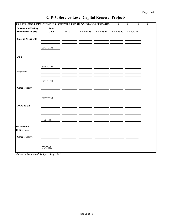| PART E: COST EFFICIENCIES ANTICIPATED FROM MAJOR REPAIRS: |                        |            |            |            |            |            |  |
|-----------------------------------------------------------|------------------------|------------|------------|------------|------------|------------|--|
| <b>Incremental Facility</b><br><b>Maintenance Costs</b>   | Fund<br>Code           | FY 2013-14 | FY 2014-15 | FY 2015-16 | FY 2016-17 | FY 2017-18 |  |
| Salaries & Benefits                                       |                        |            |            |            |            |            |  |
|                                                           | <b>SUBTOTAL</b>        |            |            |            |            |            |  |
| <b>OPS</b>                                                |                        |            |            |            |            |            |  |
|                                                           | ${\tt SUBTOTAL}$       |            |            |            |            |            |  |
| Expenses                                                  |                        |            |            |            |            |            |  |
|                                                           | ${\large\bf SUBTOTAL}$ |            |            |            |            |            |  |
| Other (specify)                                           |                        |            |            |            |            |            |  |
|                                                           | <b>SUBTOTAL</b>        |            |            |            |            |            |  |
| <b>Fund Totals</b>                                        |                        |            |            |            |            |            |  |
|                                                           |                        |            |            |            |            |            |  |
| <b>Incremental</b>                                        | <b>TOTAL</b>           |            |            |            |            |            |  |
| <b>Utility Costs</b>                                      |                        |            |            |            |            |            |  |
| Other (specify)                                           |                        |            |            |            |            |            |  |
|                                                           | <b>TOTAL</b>           |            |            |            |            |            |  |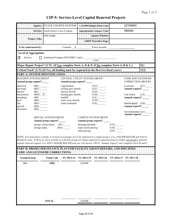| Agency:                                                                                                                        | STATE COURTS SYSTEM                                                                                                                                                                                                                                                                                                                                                                                                                                                        | LAS/PBS Budget Entity Code:                                                                                                            |                       | 22100600                                              |            |
|--------------------------------------------------------------------------------------------------------------------------------|----------------------------------------------------------------------------------------------------------------------------------------------------------------------------------------------------------------------------------------------------------------------------------------------------------------------------------------------------------------------------------------------------------------------------------------------------------------------------|----------------------------------------------------------------------------------------------------------------------------------------|-----------------------|-------------------------------------------------------|------------|
|                                                                                                                                | Service: Fourth District Court of Appeal                                                                                                                                                                                                                                                                                                                                                                                                                                   | <b>Appropriation Category Code:</b>                                                                                                    |                       | 080062                                                |            |
|                                                                                                                                | <b>HVAC Update</b>                                                                                                                                                                                                                                                                                                                                                                                                                                                         | <b>Agency Priority:</b>                                                                                                                |                       |                                                       |            |
| <b>Project Title:</b>                                                                                                          |                                                                                                                                                                                                                                                                                                                                                                                                                                                                            | <b>LRPP Narrative Page:</b>                                                                                                            |                       |                                                       |            |
| To be constructed by:                                                                                                          |                                                                                                                                                                                                                                                                                                                                                                                                                                                                            | Contract X Force account                                                                                                               |                       |                                                       |            |
| <b>Level of Aggregation:</b>                                                                                                   |                                                                                                                                                                                                                                                                                                                                                                                                                                                                            |                                                                                                                                        |                       |                                                       |            |
| ГĀ<br>Service                                                                                                                  | Institution/Campus (SUS/SBCC only):                                                                                                                                                                                                                                                                                                                                                                                                                                        | <b>NAME</b>                                                                                                                            |                       |                                                       |            |
|                                                                                                                                | Major Repair Project? (Y/N) (If Yes, complete Parts A, D & E; if No, complete Parts A, B & C.)                                                                                                                                                                                                                                                                                                                                                                             |                                                                                                                                        |                       |                                                       | <b>NO</b>  |
|                                                                                                                                | Critical Need? (Y/N) (If Yes, all funding must be requested in the first two fiscal years.)                                                                                                                                                                                                                                                                                                                                                                                |                                                                                                                                        |                       |                                                       | <b>YES</b> |
|                                                                                                                                |                                                                                                                                                                                                                                                                                                                                                                                                                                                                            |                                                                                                                                        |                       |                                                       |            |
| <b>BUILDING SYSTEM GROUP</b><br>Annual group request? _____                                                                    | Annual group request?                                                                                                                                                                                                                                                                                                                                                                                                                                                      | CENTRAL UTILITY SYSTEM GROUP                                                                                                           |                       | <b>CODE AND LICENSURE</b><br><b>CORRECTION GROUPS</b> |            |
| $(BE)$ <sub>_______</sub><br>electrical<br>(BX)<br>envelope                                                                    | cogeneration<br>cooling gen./distrib.                                                                                                                                                                                                                                                                                                                                                                                                                                      | $(UC)$ <sub>______</sub>                                                                                                               |                       | Licensure<br>Annual request? _____                    | (LC)       |
| interior<br>$(BI)$ <sub>______</sub><br>mechanical<br>$(BM)$ <sup><math>X</math></sup><br>plumbing<br>$(BP)$ <sub>______</sub> | electric distrib.<br>heating gen./distrib.<br>landfill                                                                                                                                                                                                                                                                                                                                                                                                                     | $\overline{(UD)}$ —<br>$\begin{array}{c}\n\stackrel{\cdot}{\text{(UH)}} \quad \text{---} \\ \text{(UL)} \quad \text{---}\n\end{array}$ |                       | Life Safety<br>Annual request?                        | (LS)       |
| roof<br>(BR)<br>(BG)<br>site<br>special<br>(BD)<br>(BS)<br>structural                                                          | water treat./distrib.<br>waste treatment                                                                                                                                                                                                                                                                                                                                                                                                                                   | (US)                                                                                                                                   |                       | Handicapped (LH)<br>Annual request? _____             |            |
|                                                                                                                                |                                                                                                                                                                                                                                                                                                                                                                                                                                                                            |                                                                                                                                        |                       | Environmental (LE)<br>Annual request?                 |            |
|                                                                                                                                | SPECIAL SYSTEM GROUP<br>Annual group request? _____                                                                                                                                                                                                                                                                                                                                                                                                                        | <b>CAMPUS SYSTEM GROUP</b><br>Annual group request?                                                                                    |                       |                                                       |            |
| storage tanks                                                                                                                  | energy conservation<br>$\left( \text{SC} \right)$<br>(BX)                                                                                                                                                                                                                                                                                                                                                                                                                  | drainage/grounds<br>road system paving<br>other paving                                                                                 | (CG)<br>(CR)<br>(CP)  |                                                       |            |
|                                                                                                                                | NOTE: If at least three systems or at least two groups are to be repaired in a single project, it is a MAJOR REPAIR and Part D<br>should be used. If three or more systems in a facility group are being repaired in separate projects within one group's general<br>capital renewal request, it is NOT a MAJOR REPAIR and you will answer YES to "annual request" and complete Parts B and C.<br>PART B: PROJECTED FINANCE PLAN FOR FACILITY GROUP REPAIRS, AND SPECIFIED |                                                                                                                                        |                       |                                                       |            |
|                                                                                                                                | <b>CODE AND LICENSURE CORRECTIONS:</b>                                                                                                                                                                                                                                                                                                                                                                                                                                     |                                                                                                                                        |                       |                                                       |            |
| Group/System                                                                                                                   | <b>Fund Code</b><br>FY 2013-14                                                                                                                                                                                                                                                                                                                                                                                                                                             | FY 2014-15<br>FY 2015-16                                                                                                               | FY 2016-17 FY 2017-18 |                                                       |            |
| ${\rm BM}$                                                                                                                     | 1000                                                                                                                                                                                                                                                                                                                                                                                                                                                                       | 120,000                                                                                                                                |                       |                                                       |            |
|                                                                                                                                |                                                                                                                                                                                                                                                                                                                                                                                                                                                                            |                                                                                                                                        |                       |                                                       |            |
|                                                                                                                                |                                                                                                                                                                                                                                                                                                                                                                                                                                                                            |                                                                                                                                        |                       |                                                       |            |
|                                                                                                                                |                                                                                                                                                                                                                                                                                                                                                                                                                                                                            |                                                                                                                                        |                       |                                                       |            |
|                                                                                                                                |                                                                                                                                                                                                                                                                                                                                                                                                                                                                            |                                                                                                                                        |                       |                                                       |            |
|                                                                                                                                |                                                                                                                                                                                                                                                                                                                                                                                                                                                                            |                                                                                                                                        |                       |                                                       |            |
|                                                                                                                                |                                                                                                                                                                                                                                                                                                                                                                                                                                                                            |                                                                                                                                        |                       |                                                       |            |
|                                                                                                                                | <b>TOTAL</b>                                                                                                                                                                                                                                                                                                                                                                                                                                                               | 120,000                                                                                                                                |                       |                                                       |            |
|                                                                                                                                |                                                                                                                                                                                                                                                                                                                                                                                                                                                                            |                                                                                                                                        |                       |                                                       |            |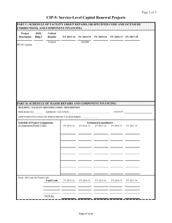| <b>CIP-5: Service-Level Capital Renewal Projects</b> |  |  |  |  |  |  |
|------------------------------------------------------|--|--|--|--|--|--|
|------------------------------------------------------|--|--|--|--|--|--|

| Project<br><b>Description</b>                                  | <b>DMS</b><br>Bldg.# | Critical<br>Routine |                                                                              |            | FY 2013-14 FY 2014-15 FY 2015-16 FY 2016-17 FY 2017-18 |            |            |
|----------------------------------------------------------------|----------------------|---------------------|------------------------------------------------------------------------------|------------|--------------------------------------------------------|------------|------------|
| <b>HVAC</b> Update                                             |                      | Critical            |                                                                              | 120,000    |                                                        |            |            |
|                                                                |                      |                     |                                                                              |            |                                                        |            |            |
|                                                                |                      |                     |                                                                              |            |                                                        |            |            |
|                                                                |                      |                     |                                                                              |            |                                                        |            |            |
|                                                                |                      |                     |                                                                              |            |                                                        |            |            |
|                                                                |                      |                     | <b>PART D. SCHEDULE OF MAJOR REPAIRS AND COMPONENT FINANCING: AND LITTLE</b> |            |                                                        |            |            |
|                                                                |                      |                     | <b>BUILDING / FACILITY IDENTIFICATION / DESCRIPTION</b>                      |            |                                                        |            |            |
|                                                                |                      |                     | LRPP NARRATIVE PAGE ON WHICH PROJECT IS DESCRIBED ____________               |            |                                                        | COUNTY     |            |
| <b>Schedule of Project Components</b><br>(Component/Fund Code) |                      |                     | FY 2013-14                                                                   | FY 2014-15 | <b>Estimated Expenditures</b><br>FY 2015-16            | FY 2016-17 | FY 2017-18 |
|                                                                |                      |                     |                                                                              |            |                                                        |            |            |
|                                                                |                      |                     |                                                                              |            |                                                        |            |            |
|                                                                |                      |                     |                                                                              |            |                                                        |            |            |
|                                                                |                      |                     |                                                                              |            |                                                        |            |            |
|                                                                |                      |                     |                                                                              |            |                                                        |            |            |
|                                                                |                      |                     |                                                                              |            |                                                        |            |            |
|                                                                |                      |                     |                                                                              |            |                                                        |            |            |
|                                                                |                      |                     |                                                                              |            |                                                        |            |            |
| Total: All Costs by Fund Code                                  |                      | <b>Fund Code</b>    | FY 2013-14                                                                   | FY 2014-15 | FY 2015-16                                             | FY 2016-17 | FY 2017-18 |
|                                                                |                      |                     |                                                                              |            |                                                        |            |            |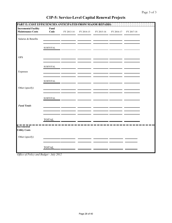| PART E: COST EFFICIENCIES ANTICIPATED FROM MAJOR REPAIRS: |                                  |            |            |            |            |            |  |
|-----------------------------------------------------------|----------------------------------|------------|------------|------------|------------|------------|--|
| <b>Incremental Facility</b><br><b>Maintenance Costs</b>   | Fund<br>Code                     | FY 2013-14 | FY 2014-15 | FY 2015-16 | FY 2016-17 | FY 2017-18 |  |
| Salaries & Benefits                                       |                                  |            |            |            |            |            |  |
|                                                           | ${\tt SUBTOTAL}$                 |            |            |            |            |            |  |
| <b>OPS</b>                                                |                                  |            |            |            |            |            |  |
|                                                           | ${\tt SUBTOTAL}$                 |            |            |            |            |            |  |
| Expenses                                                  |                                  |            |            |            |            |            |  |
|                                                           | ${\large\bf SUBTOTAL}$           |            |            |            |            |            |  |
| Other (specify)                                           |                                  |            |            |            |            |            |  |
|                                                           | $\ensuremath{\mathsf{SUBTOTAL}}$ |            |            |            |            |            |  |
| <b>Fund Totals</b>                                        |                                  |            |            |            |            |            |  |
|                                                           | <b>TOTAL</b>                     |            |            |            |            |            |  |
| <b>Incremental</b><br><b>Utility Costs</b>                |                                  |            |            |            |            |            |  |
| Other (specify)                                           |                                  |            |            |            |            |            |  |
|                                                           | <b>TOTAL</b>                     |            |            |            |            |            |  |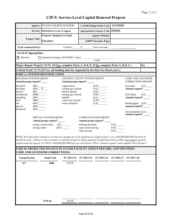|                                                       | Agency: STATE COURTS SYSTEM                                                                                                                                                                                                                                                                                                                                                                    |                                                            |                                                        | <b>LAS/PBS Budget Entity Code:</b>                    | 22100600                                 |                                                       |                         |
|-------------------------------------------------------|------------------------------------------------------------------------------------------------------------------------------------------------------------------------------------------------------------------------------------------------------------------------------------------------------------------------------------------------------------------------------------------------|------------------------------------------------------------|--------------------------------------------------------|-------------------------------------------------------|------------------------------------------|-------------------------------------------------------|-------------------------|
|                                                       | Service: Fifth District Court of Appeal                                                                                                                                                                                                                                                                                                                                                        |                                                            |                                                        | Appropriation Category Code: 080956                   |                                          |                                                       |                         |
|                                                       | <b>Exterior Sealant on East</b>                                                                                                                                                                                                                                                                                                                                                                |                                                            |                                                        | <b>Agency Priority:</b>                               |                                          |                                                       |                         |
| <b>Project Title:</b>                                 | Elevation                                                                                                                                                                                                                                                                                                                                                                                      |                                                            |                                                        | <b>LRPP Narrative Page:</b>                           |                                          |                                                       |                         |
| To be constructed by:                                 |                                                                                                                                                                                                                                                                                                                                                                                                |                                                            |                                                        | Contract X Force account                              |                                          |                                                       |                         |
| <b>Level of Aggregation:</b>                          |                                                                                                                                                                                                                                                                                                                                                                                                |                                                            |                                                        |                                                       |                                          |                                                       |                         |
| <b>X</b> Service                                      | $\Box$ Institution/Campus (SUS/SBCC only):                                                                                                                                                                                                                                                                                                                                                     |                                                            |                                                        | <b>NAME</b>                                           |                                          |                                                       |                         |
|                                                       | Major Repair Project? (Y/N) (If Yes, complete Parts A, D & E; if No, complete Parts A, B & C.)                                                                                                                                                                                                                                                                                                 |                                                            |                                                        |                                                       |                                          |                                                       | <b>No</b>               |
|                                                       | Critical Need? (Y/N) (If Yes, all funding must be requested in the first two fiscal years.)                                                                                                                                                                                                                                                                                                    |                                                            |                                                        |                                                       |                                          |                                                       |                         |
|                                                       |                                                                                                                                                                                                                                                                                                                                                                                                |                                                            |                                                        |                                                       |                                          |                                                       |                         |
| <b>BUILDING SYSTEM GROUP</b><br>Annual group request? |                                                                                                                                                                                                                                                                                                                                                                                                | CENTRAL UTILITY SYSTEM GROUP<br>Annual group request?      |                                                        |                                                       |                                          | <b>CODE AND LICENSURE</b><br><b>CORRECTION GROUPS</b> |                         |
| electrical<br>envelope<br>interior                    | $\frac{\text{(BE)}}{\text{(BX)} - \text{X}}$                                                                                                                                                                                                                                                                                                                                                   | cogeneration<br>cooling gen./distrib.<br>electric distrib. |                                                        | $(UG)$ <sub>______</sub><br>(UC)<br>$\overline{(UD)}$ |                                          | Licensure<br>Annual request? _____                    | $(LC)$ <sub>_____</sub> |
| mechanical<br>plumbing                                | $\overline{\text{B1}}$<br>(BM)<br>$(BP)$ <sub>_____</sub>                                                                                                                                                                                                                                                                                                                                      | heating gen./distrib.<br>landfill                          |                                                        | (UH)<br>$(UL)$ <sub>______</sub>                      |                                          | Life Safety<br>Annual request?                        | $(LS)$ <sub>_____</sub> |
| roof<br>site<br>special                               | $(BR)$ <sub>______</sub><br>(BG)<br>(BD)                                                                                                                                                                                                                                                                                                                                                       | water treat./distrib.<br>waste treatment                   |                                                        | (US)                                                  |                                          | Handicapped (LH)<br>Annual request? _____             |                         |
| structural                                            | (BS)                                                                                                                                                                                                                                                                                                                                                                                           |                                                            |                                                        |                                                       |                                          | Environmental (LE)<br>Annual request? ____            |                         |
|                                                       | SPECIAL SYSTEM GROUP<br>Annual group request? _____                                                                                                                                                                                                                                                                                                                                            |                                                            |                                                        | <b>CAMPUS SYSTEM GROUP</b><br>Annual group request?   |                                          |                                                       |                         |
|                                                       | energy conservation (SC)<br>storage tanks                                                                                                                                                                                                                                                                                                                                                      | (BX)                                                       | drainage/grounds<br>road system paving<br>other paving |                                                       | (CG)<br>$(CR)$ <sub>______</sub><br>(CP) |                                                       |                         |
|                                                       | NOTE: If at least three systems or at least two groups are to be repaired in a single project, it is a MAJOR REPAIR and Part D<br>should be used. If three or more systems in a facility group are being repaired in separate projects within one group's general<br>capital renewal request, it is NOT a MAJOR REPAIR and you will answer YES to "annual request" and complete Parts B and C. |                                                            |                                                        |                                                       |                                          |                                                       |                         |
|                                                       |                                                                                                                                                                                                                                                                                                                                                                                                |                                                            |                                                        |                                                       |                                          |                                                       |                         |
|                                                       | PART B: PROJECTED FINANCE PLAN FOR FACILITY GROUP REPAIRS, AND SPECIFIED<br><b>CODE AND LICENSURE CORRECTIONS:</b>                                                                                                                                                                                                                                                                             |                                                            |                                                        |                                                       |                                          |                                                       |                         |
| Group/System                                          | <b>Fund Code</b>                                                                                                                                                                                                                                                                                                                                                                               | FY 2013-14                                                 | FY 2014-15                                             | FY 2015-16                                            |                                          | FY 2016-17 FY 2017-18                                 |                         |
| ${\rm BX}$                                            | 1000                                                                                                                                                                                                                                                                                                                                                                                           | 19,239                                                     |                                                        |                                                       |                                          |                                                       |                         |
|                                                       |                                                                                                                                                                                                                                                                                                                                                                                                |                                                            |                                                        |                                                       |                                          |                                                       |                         |
|                                                       |                                                                                                                                                                                                                                                                                                                                                                                                |                                                            |                                                        |                                                       |                                          |                                                       |                         |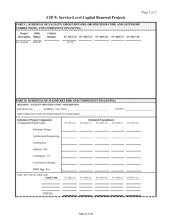|                                                                |                      | PART C: SCHEDULE OF FACILITY GROUP REPAIRS, OR SPECIFIED CODE AND LICENSURE<br>CORRECTIONS, AND COMPONENT FINANCING: |            |            |                                                        |            |            |  |
|----------------------------------------------------------------|----------------------|----------------------------------------------------------------------------------------------------------------------|------------|------------|--------------------------------------------------------|------------|------------|--|
| Project<br><b>Description</b>                                  | <b>DMS</b><br>Bldg.# | <b>Critical</b><br>Routine                                                                                           |            |            | FY 2013-14 FY 2014-15 FY 2015-16 FY 2016-17 FY 2017-18 |            |            |  |
| Ext. Sealant                                                   | A00140               |                                                                                                                      | 19,239     |            |                                                        |            |            |  |
|                                                                |                      |                                                                                                                      |            |            |                                                        |            |            |  |
|                                                                |                      |                                                                                                                      |            |            |                                                        |            |            |  |
|                                                                |                      |                                                                                                                      |            |            |                                                        |            |            |  |
|                                                                |                      |                                                                                                                      |            |            |                                                        |            |            |  |
|                                                                |                      |                                                                                                                      |            |            |                                                        |            |            |  |
|                                                                |                      |                                                                                                                      |            |            |                                                        |            |            |  |
|                                                                |                      |                                                                                                                      |            |            |                                                        |            |            |  |
|                                                                |                      |                                                                                                                      |            |            |                                                        |            |            |  |
|                                                                |                      |                                                                                                                      |            |            |                                                        |            |            |  |
|                                                                |                      |                                                                                                                      |            |            |                                                        |            |            |  |
|                                                                |                      | PART D. SCHEDULE OF MAJOR REPAIRS AND COMPONENT FINANCING.                                                           |            |            |                                                        |            |            |  |
|                                                                |                      | <b>BUILDING / FACILITY IDENTIFICATION / DESCRIPTION</b>                                                              |            |            |                                                        |            |            |  |
|                                                                |                      |                                                                                                                      |            |            |                                                        | COUNTY     |            |  |
|                                                                |                      | LRPP NARRATIVE PAGE ON WHICH PROJECT IS DESCRIBED ______                                                             |            |            |                                                        |            |            |  |
| <b>Schedule of Project Components</b><br>(Component/Fund Code) |                      |                                                                                                                      | FY 2013-14 | FY 2014-15 | <b>Estimated Expenditures</b><br>FY 2015-16            | FY 2016-17 | FY 2017-18 |  |
|                                                                | Schematic Design     |                                                                                                                      |            |            |                                                        |            |            |  |
|                                                                |                      | Architectural/Engineering                                                                                            |            |            |                                                        |            |            |  |
|                                                                | Construction         |                                                                                                                      |            |            |                                                        |            |            |  |
|                                                                | Inflation 10%        |                                                                                                                      |            |            |                                                        |            |            |  |
|                                                                | Contingency 5%       |                                                                                                                      |            |            |                                                        |            |            |  |
|                                                                |                      | <b>Construction Manager</b>                                                                                          |            |            |                                                        |            |            |  |
|                                                                | DMS Mgt. Fee         |                                                                                                                      |            |            |                                                        |            |            |  |
| Total: All Costs by Fund Code                                  |                      | <b>Fund Code</b>                                                                                                     | FY 2013-14 | FY 2014-15 | FY 2015-16                                             | FY 2016-17 | FY 2017-18 |  |
|                                                                |                      |                                                                                                                      |            |            |                                                        |            |            |  |
|                                                                |                      |                                                                                                                      |            |            |                                                        |            |            |  |
|                                                                |                      | <b>TOTAL</b>                                                                                                         |            |            |                                                        |            |            |  |